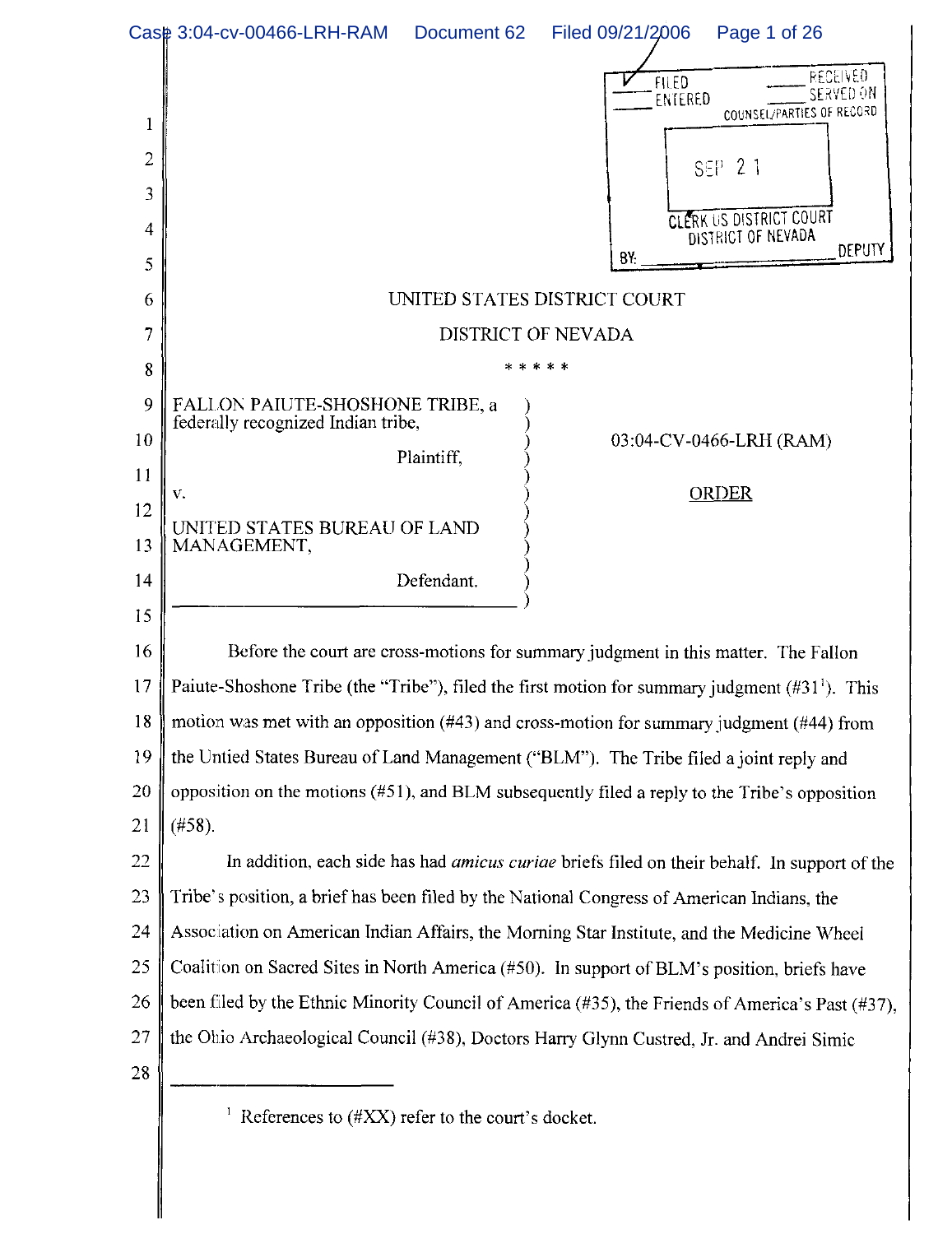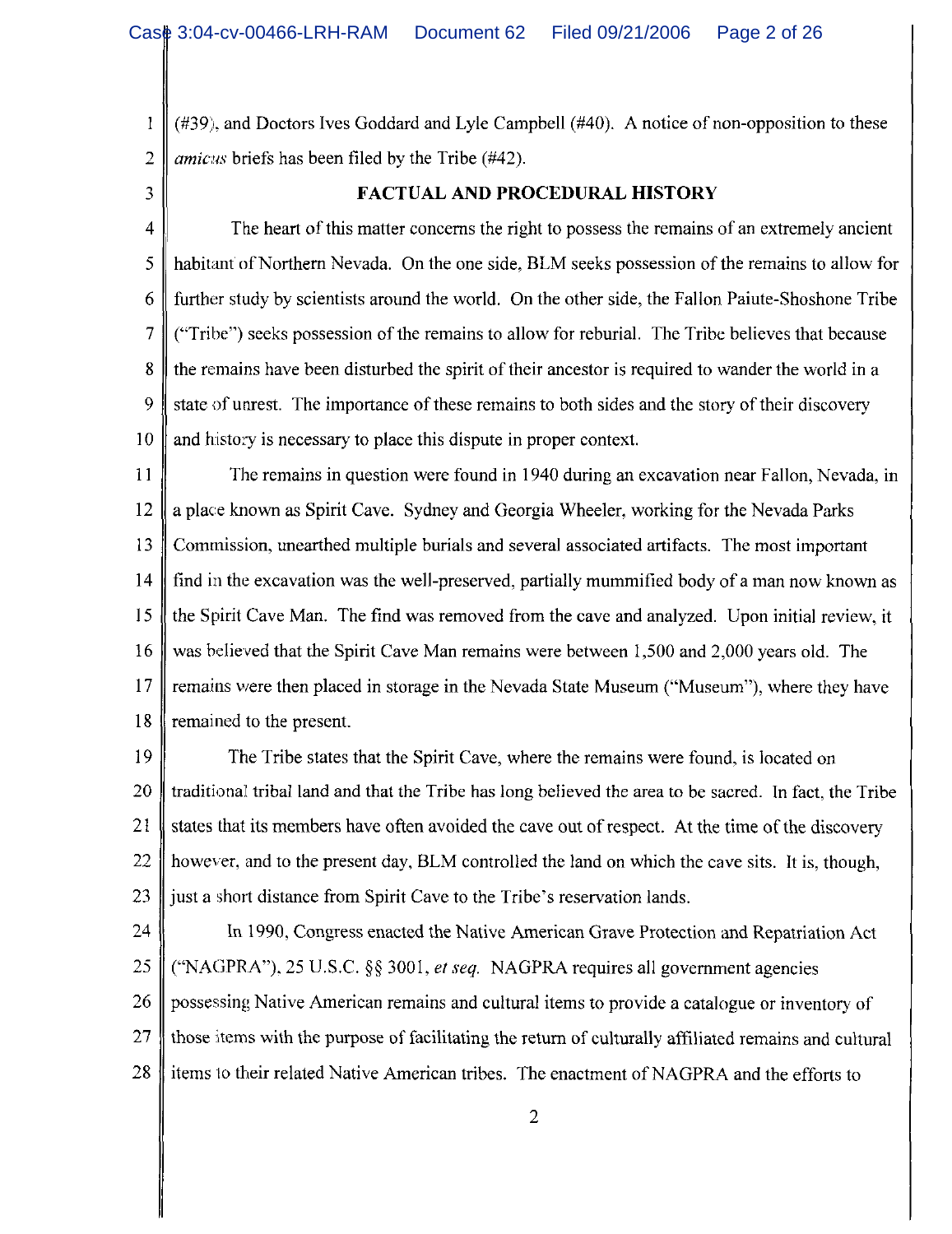$(\#39)$ , and Doctors Ives Goddard and Lyle Campbell  $(\#40)$ . A notice of non-opposition to these  $\overline{2}$ *amicus* briefs has been filed by the Tribe (#42).

3

 $\mathbf{l}$ 

# **FACTUAL AND PROCEDURAL HISTORY**

 $\overline{4}$ The heart of this matter concerns the right to possess the remains of an extremely ancient 5 habitant of Northern Nevada. On the one side, BLM seeks possession of the remains to allow for 6 further study by scientists around the world. On the other side, the Fallon Paiute-Shoshone Tribe 7 ("Tribe") seeks possession of the remains to allow for reburial. The Tribe believes that because 8 the remains have been disturbed the spirit of their ancestor is required to wander the world in a 9 state of unrest. The importance of these remains to both sides and the story of their discovery 10 and history is necessary to place this dispute in proper context.

11 The remains in question were found in 1940 during an excavation near Fallon, Nevada, in 12 a place known as Spirit Cave. Sydney and Georgia Wheeler, working for the Nevada Parks Commission, unearthed multiple burials and several associated artifacts. The most important 13 find in the excavation was the well-preserved, partially mummified body of a man now known as 14 the Spirit Cave Man. The find was removed from the cave and analyzed. Upon initial review, it 15 16 was believed that the Spirit Cave Man remains were between 1,500 and 2,000 years old. The  $17$ remains were then placed in storage in the Nevada State Museum ("Museum"), where they have remained to the present. 18

19 The Tribe states that the Spirit Cave, where the remains were found, is located on 20 traditional tribal land and that the Tribe has long believed the area to be sacred. In fact, the Tribe 21 states that its members have often avoided the cave out of respect. At the time of the discovery 22 however, and to the present day, BLM controlled the land on which the cave sits. It is, though, 23 just a short distance from Spirit Cave to the Tribe's reservation lands.

24 In 1990, Congress enacted the Native American Grave Protection and Repatriation Act 25 ("NAGPRA"), 25 U.S.C. §§ 3001, et seq. NAGPRA requires all government agencies 26 possessing Native American remains and cultural items to provide a catalogue or inventory of those items with the purpose of facilitating the return of culturally affiliated remains and cultural 27 items to their related Native American tribes. The enactment of NAGPRA and the efforts to 28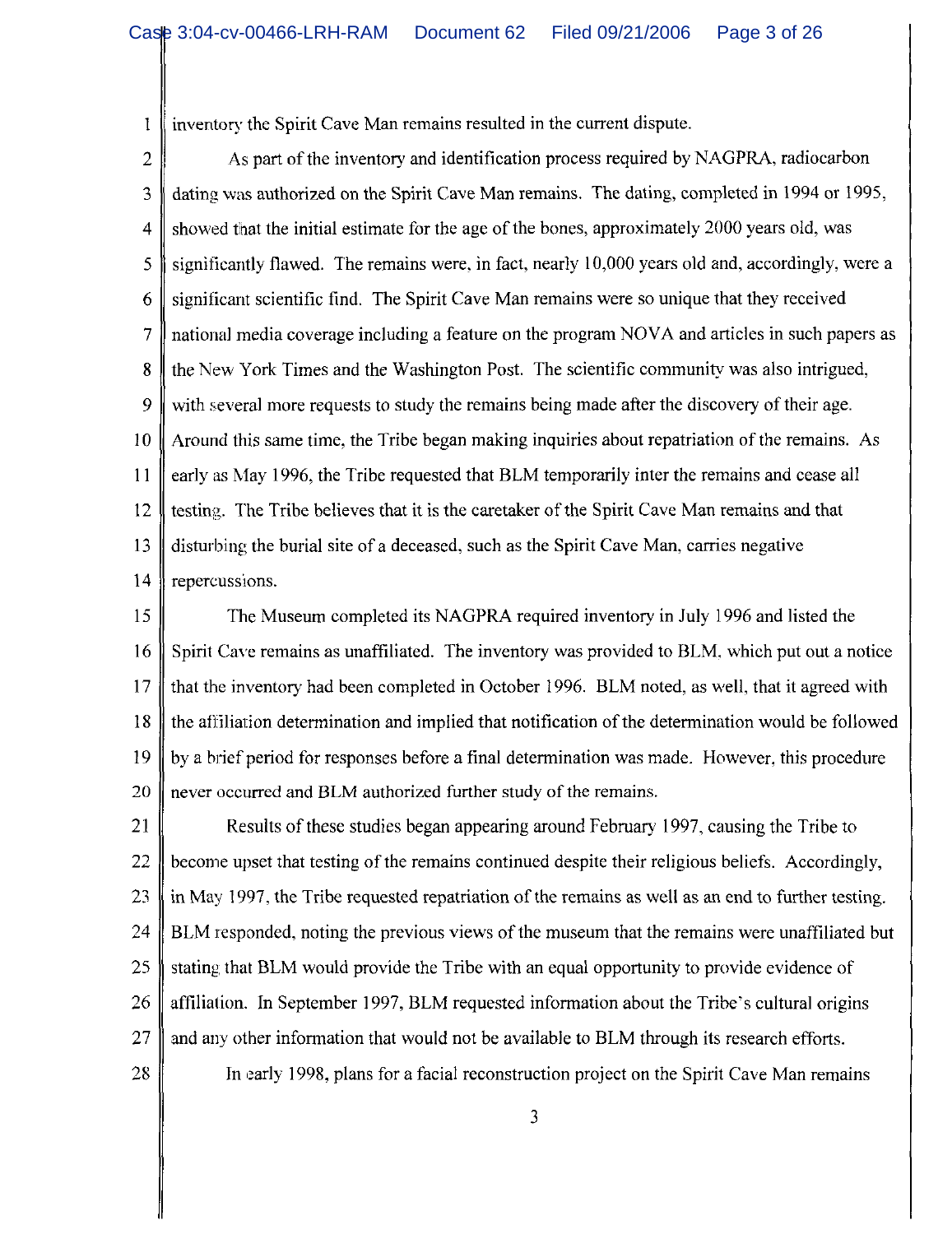inventory the Spirit Cave Man remains resulted in the current dispute.  $\mathbbm{I}$ 

 $\overline{2}$ As part of the inventory and identification process required by NAGPRA, radiocarbon 3 dating was authorized on the Spirit Cave Man remains. The dating, completed in 1994 or 1995,  $\overline{4}$ showed that the initial estimate for the age of the bones, approximately 2000 years old, was significantly flawed. The remains were, in fact, nearly 10,000 years old and, accordingly, were a 5 6 significant scientific find. The Spirit Cave Man remains were so unique that they received 7 national media coverage including a feature on the program NOVA and articles in such papers as 8 the New York Times and the Washington Post. The scientific community was also intrigued, 9 with several more requests to study the remains being made after the discovery of their age. Around this same time, the Tribe began making inquiries about repatriation of the remains. As 10 11 early as May 1996, the Tribe requested that BLM temporarily inter the remains and cease all 12 testing. The Tribe believes that it is the caretaker of the Spirit Cave Man remains and that disturbing the burial site of a deceased, such as the Spirit Cave Man, carries negative 13 14 repercussions.

15 The Museum completed its NAGPRA required inventory in July 1996 and listed the 16 Spirit Cave remains as unaffiliated. The inventory was provided to BLM, which put out a notice that the inventory had been completed in October 1996. BLM noted, as well, that it agreed with 17 the affiliation determination and implied that notification of the determination would be followed 18 19 by a brief period for responses before a final determination was made. However, this procedure never occurred and BLM authorized further study of the remains. 20

21 Results of these studies began appearing around February 1997, causing the Tribe to 22 become upset that testing of the remains continued despite their religious beliefs. Accordingly, 23 in May 1997, the Tribe requested repatriation of the remains as well as an end to further testing. 24 BLM responded, noting the previous views of the museum that the remains were unaffiliated but 25 stating that BLM would provide the Tribe with an equal opportunity to provide evidence of 26 affiliation. In September 1997, BLM requested information about the Tribe's cultural origins 27 and any other information that would not be available to BLM through its research efforts. 28

In early 1998, plans for a facial reconstruction project on the Spirit Cave Man remains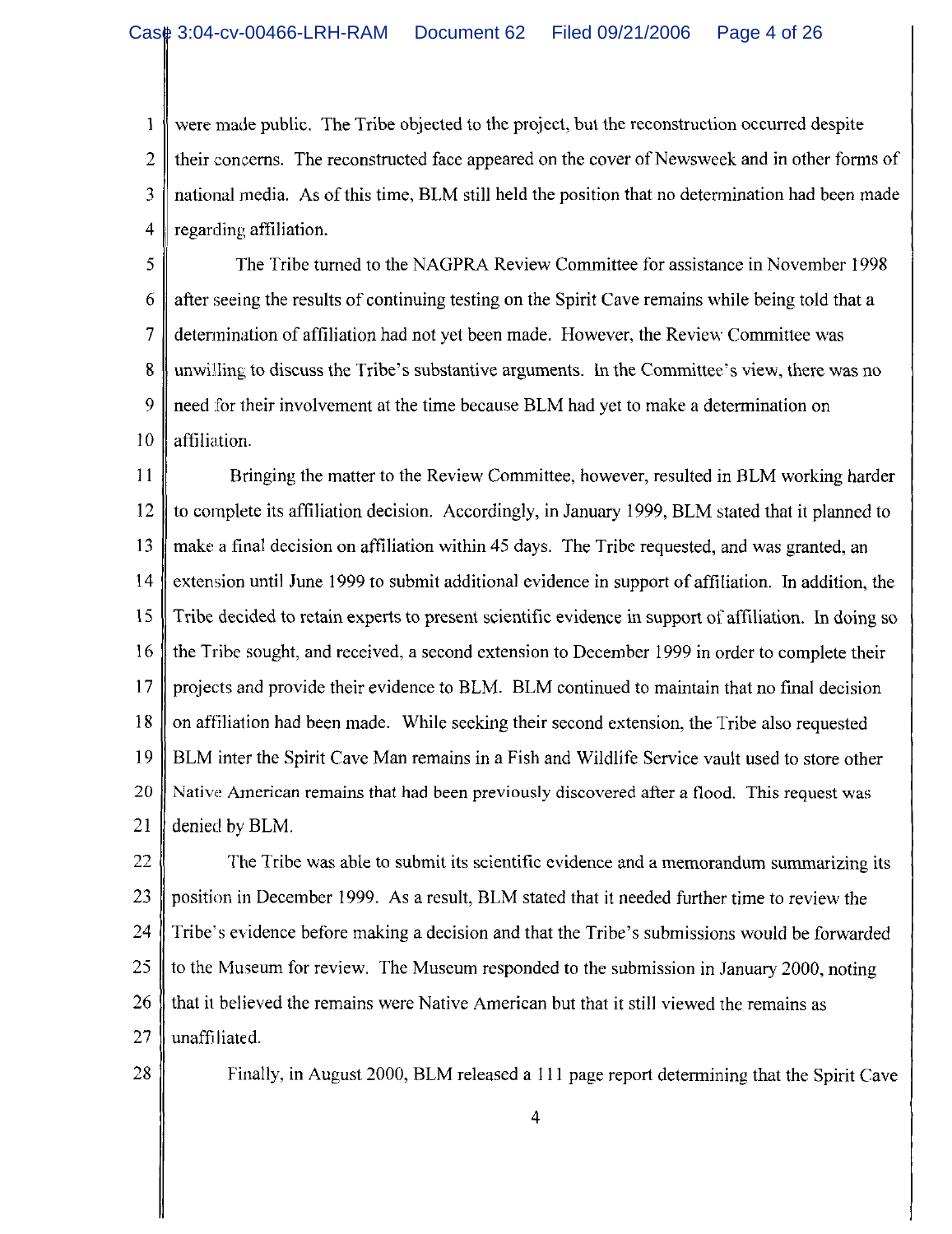were made public. The Tribe objected to the project, but the reconstruction occurred despite 1  $\overline{2}$ their concerns. The reconstructed face appeared on the cover of Newsweek and in other forms of national media. As of this time, BLM still held the position that no determination had been made 3 regarding affiliation.  $\overline{4}$ 

5 The Tribe turned to the NAGPRA Review Committee for assistance in November 1998 6 after seeing the results of continuing testing on the Spirit Cave remains while being told that a 7 determination of affiliation had not yet been made. However, the Review Committee was 8 unwilling to discuss the Tribe's substantive arguments. In the Committee's view, there was no 9 need for their involvement at the time because BLM had yet to make a determination on affiliation. 10

11 Bringing the matter to the Review Committee, however, resulted in BLM working harder to complete its affiliation decision. Accordingly, in January 1999, BLM stated that it planned to 12 13 make a final decision on affiliation within 45 days. The Tribe requested, and was granted, an extension until June 1999 to submit additional evidence in support of affiliation. In addition, the 14 15 Tribe decided to retain experts to present scientific evidence in support of affiliation. In doing so 16 the Tribe sought, and received, a second extension to December 1999 in order to complete their 17 projects and provide their evidence to BLM. BLM continued to maintain that no final decision 18 on affiliation had been made. While seeking their second extension, the Tribe also requested 19 BLM inter the Spirit Cave Man remains in a Fish and Wildlife Service vault used to store other 20 Native American remains that had been previously discovered after a flood. This request was 21 denied by BLM.

22 The Tribe was able to submit its scientific evidence and a memorandum summarizing its 23 position in December 1999. As a result, BLM stated that it needed further time to review the 24 Tribe's evidence before making a decision and that the Tribe's submissions would be forwarded 25 to the Museum for review. The Museum responded to the submission in January 2000, noting 26 that it believed the remains were Native American but that it still viewed the remains as 27 unaffiliated.

28

Finally, in August 2000, BLM released a 111 page report determining that the Spirit Cave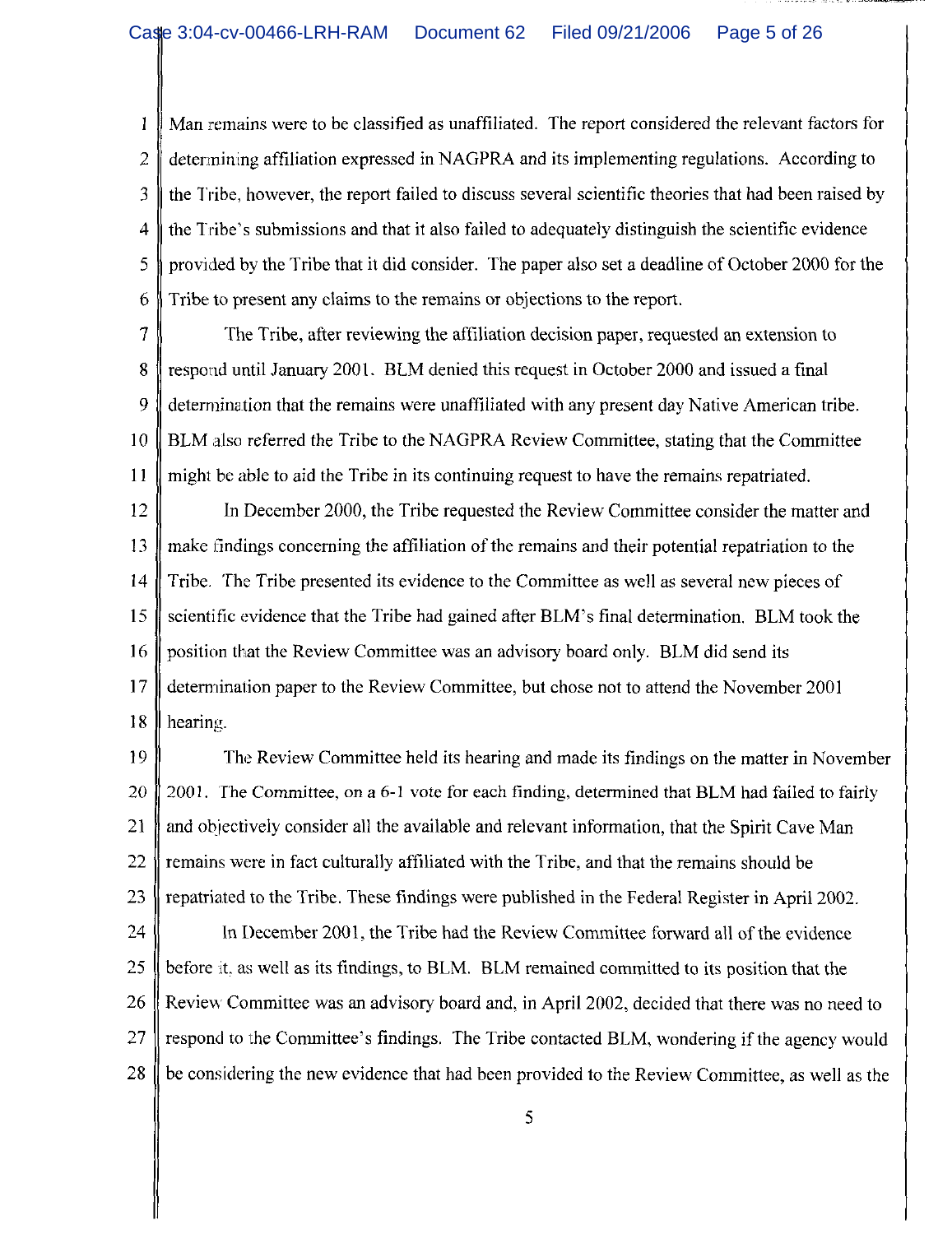$\mathbf{1}$ Man remains were to be classified as unaffiliated. The report considered the relevant factors for  $\overline{2}$ determining affiliation expressed in NAGPRA and its implementing regulations. According to the Tribe, however, the report failed to discuss several scientific theories that had been raised by 3 the Tribe's submissions and that it also failed to adequately distinguish the scientific evidence 4 provided by the Tribe that it did consider. The paper also set a deadline of October 2000 for the 5 6 Tribe to present any claims to the remains or objections to the report.

 $\tau$ The Tribe, after reviewing the affiliation decision paper, requested an extension to 8 respond until January 2001. BLM denied this request in October 2000 and issued a final 9 determination that the remains were unaffiliated with any present day Native American tribe. BLM also referred the Tribe to the NAGPRA Review Committee, stating that the Committee 10 might be able to aid the Tribe in its continuing request to have the remains repatriated. 11

12 In December 2000, the Tribe requested the Review Committee consider the matter and 13 make findings concerning the affiliation of the remains and their potential repatriation to the Tribe. The Tribe presented its evidence to the Committee as well as several new pieces of 14 15 scientific evidence that the Tribe had gained after BLM's final determination. BLM took the 16 position that the Review Committee was an advisory board only. BLM did send its determination paper to the Review Committee, but chose not to attend the November 2001 17 18 hearing.

19 The Review Committee held its hearing and made its findings on the matter in November 2001. The Committee, on a 6-1 vote for each finding, determined that BLM had failed to fairly 20 21 and objectively consider all the available and relevant information, that the Spirit Cave Man  $22$ remains were in fact culturally affiliated with the Tribe, and that the remains should be 23 repatriated to the Tribe. These findings were published in the Federal Register in April 2002. 24 In December 2001, the Tribe had the Review Committee forward all of the evidence before it, as well as its findings, to BLM. BLM remained committed to its position that the 25 26 Review Committee was an advisory board and, in April 2002, decided that there was no need to 27 respond to the Committee's findings. The Tribe contacted BLM, wondering if the agency would

be considering the new evidence that had been provided to the Review Committee, as well as the

28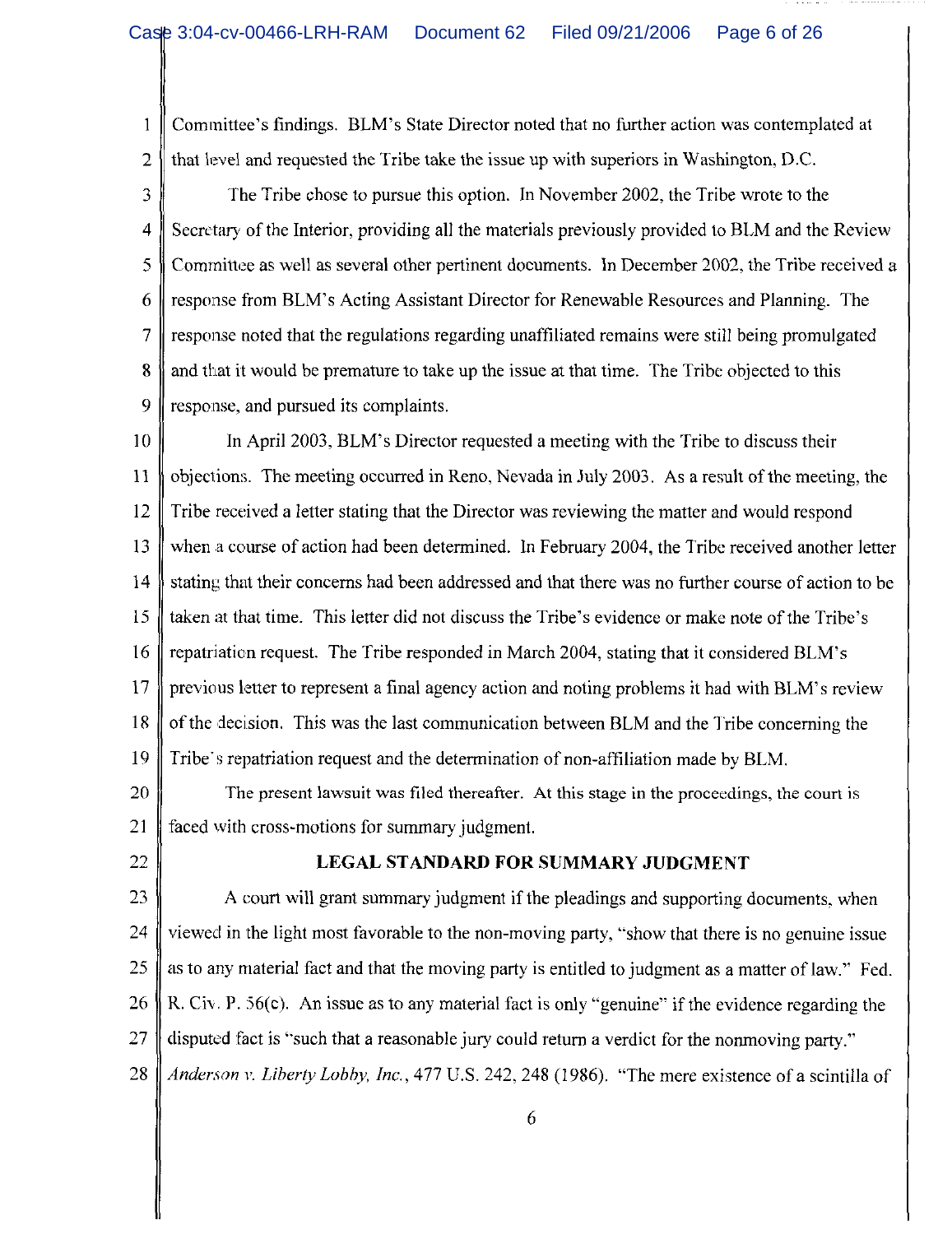Committee's findings. BLM's State Director noted that no further action was contemplated at  $\mathbf{1}$ that level and requested the Tribe take the issue up with superiors in Washington, D.C.  $\overline{2}$ 

3 The Tribe chose to pursue this option. In November 2002, the Tribe wrote to the  $\overline{4}$ Secretary of the Interior, providing all the materials previously provided to BLM and the Review 5 Committee as well as several other pertinent documents. In December 2002, the Tribe received a response from BLM's Acting Assistant Director for Renewable Resources and Planning. The 6  $\overline{7}$ response noted that the regulations regarding unaffiliated remains were still being promulgated 8 and that it would be premature to take up the issue at that time. The Tribe objected to this 9 response, and pursued its complaints.

 $10$ In April 2003, BLM's Director requested a meeting with the Tribe to discuss their objections. The meeting occurred in Reno, Nevada in July 2003. As a result of the meeting, the 11 Tribe received a letter stating that the Director was reviewing the matter and would respond 12 13 when a course of action had been determined. In February 2004, the Tribe received another letter stating that their concerns had been addressed and that there was no further course of action to be 14 15 taken at that time. This letter did not discuss the Tribe's evidence or make note of the Tribe's 16 repatriation request. The Tribe responded in March 2004, stating that it considered BLM's 17 previous letter to represent a final agency action and noting problems it had with BLM's review of the decision. This was the last communication between BLM and the Tribe concerning the 18 19 Tribe's repatriation request and the determination of non-affiliation made by BLM.

20 The present lawsuit was filed thereafter. At this stage in the proceedings, the court is 21 faced with cross-motions for summary judgment.

22

# LEGAL STANDARD FOR SUMMARY JUDGMENT

23 A court will grant summary judgment if the pleadings and supporting documents, when viewed in the light most favorable to the non-moving party, "show that there is no genuine issue 24 25 as to any material fact and that the moving party is entitled to judgment as a matter of law." Fed. 26 R. Civ. P.  $56(c)$ . An issue as to any material fact is only "genuine" if the evidence regarding the 27 disputed fact is "such that a reasonable jury could return a verdict for the nonmoving party." 28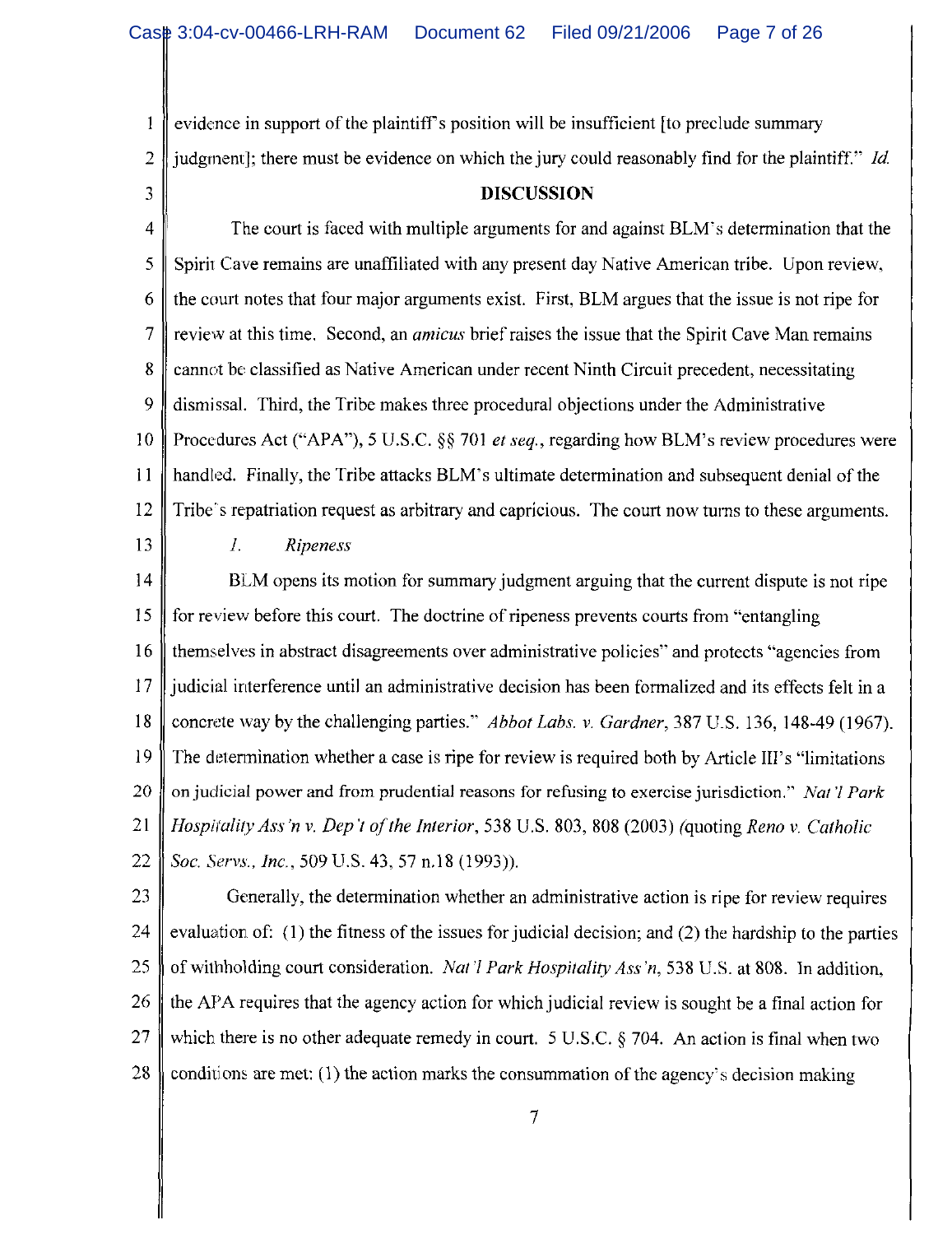evidence in support of the plaintiff's position will be insufficient [to preclude summary judgment]; there must be evidence on which the jury could reasonably find for the plaintiff." Id.

3

 $\mathbf{1}$ 

 $\overline{2}$ 

### **DISCUSSION**

 $\overline{4}$ The court is faced with multiple arguments for and against BLM's determination that the 5 Spirit Cave remains are unaffiliated with any present day Native American tribe. Upon review, 6 the court notes that four major arguments exist. First, BLM argues that the issue is not ripe for  $\overline{7}$ review at this time. Second, an *amicus* brief raises the issue that the Spirit Cave Man remains 8 cannot be classified as Native American under recent Ninth Circuit precedent, necessitating 9 dismissal. Third, the Tribe makes three procedural objections under the Administrative 10 Procedures Act ("APA"), 5 U.S.C. §§ 701 *et seq.*, regarding how BLM's review procedures were 11 handled. Finally, the Tribe attacks BLM's ultimate determination and subsequent denial of the 12 Tribe's repatriation request as arbitrary and capricious. The court now turns to these arguments. 13  $I.$ **Ripeness** 

BLM opens its motion for summary judgment arguing that the current dispute is not ripe  $14$ 15 for review before this court. The doctrine of ripeness prevents courts from "entangling" themselves in abstract disagreements over administrative policies" and protects "agencies from 16 17 judicial interference until an administrative decision has been formalized and its effects felt in a concrete way by the challenging parties." *Abbot Labs. v. Gardner*, 387 U.S. 136, 148-49 (1967). 18 19 The determination whether a case is ripe for review is required both by Article III's "limitations" 20 on judicial power and from prudential reasons for refusing to exercise jurisdiction." Nat'l Park 21 Hospitality Ass'n v. Dep't of the Interior, 538 U.S. 803, 808 (2003) (quoting Reno v. Catholic 22 Soc. Servs., Inc., 509 U.S. 43, 57 n.18 (1993)).

23 Generally, the determination whether an administrative action is ripe for review requires 24 evaluation of: (1) the fitness of the issues for judicial decision; and (2) the hardship to the parties of withholding court consideration. Nat'l Park Hospitality Ass'n, 538 U.S. at 808. In addition, 25 26 the APA requires that the agency action for which judicial review is sought be a final action for 27 which there is no other adequate remedy in court. 5 U.S.C.  $\S$  704. An action is final when two 28 conditions are met:  $(1)$  the action marks the consummation of the agency's decision making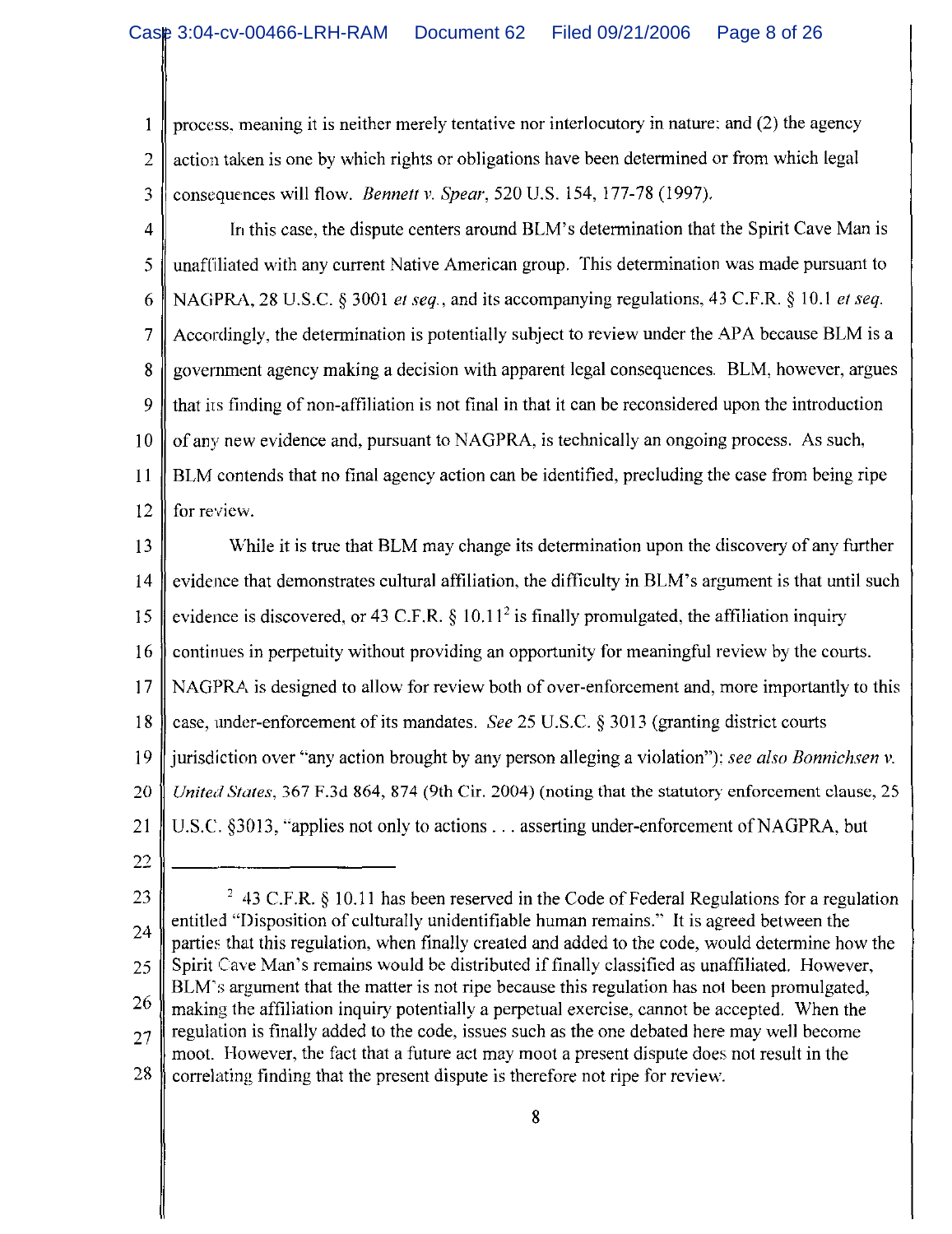process, meaning it is neither merely tentative nor interlocutory in nature; and (2) the agency  $\mathbf{1}$  $\overline{2}$ action taken is one by which rights or obligations have been determined or from which legal 3 consequences will flow. *Bennett v. Spear*, 520 U.S. 154, 177-78 (1997).

- In this case, the dispute centers around BLM's determination that the Spirit Cave Man is  $\overline{4}$ unaffiliated with any current Native American group. This determination was made pursuant to 5 6 NAGPRA, 28 U.S.C. § 3001 et seq., and its accompanying regulations, 43 C.F.R. § 10.1 et seq.  $\overline{7}$ Accordingly, the determination is potentially subject to review under the APA because BLM is a government agency making a decision with apparent legal consequences. BLM, however, argues 8 9 that its finding of non-affiliation is not final in that it can be reconsidered upon the introduction of any new evidence and, pursuant to NAGPRA, is technically an ongoing process. As such,  $10<sup>°</sup>$ BLM contends that no final agency action can be identified, precluding the case from being ripe 11 for review. 12
- While it is true that BLM may change its determination upon the discovery of any further 13 evidence that demonstrates cultural affiliation, the difficulty in BLM's argument is that until such 14 evidence is discovered, or 43 C.F.R.  $\S$  10.11<sup>2</sup> is finally promulgated, the affiliation inquiry 15 continues in perpetuity without providing an opportunity for meaningful review by the courts. 16 NAGPRA is designed to allow for review both of over-enforcement and, more importantly to this  $17$ case, under-enforcement of its mandates. See 25 U.S.C. § 3013 (granting district courts 18 19 jurisdiction over "any action brought by any person alleging a violation"): see also Bonnichsen v. United States, 367 F.3d 864, 874 (9th Cir. 2004) (noting that the statutory enforcement clause, 25 20 21 U.S.C. §3013, "applies not only to actions . . . asserting under-enforcement of NAGPRA, but
- 22

<sup>&</sup>lt;sup>2</sup> 43 C.F.R. § 10.11 has been reserved in the Code of Federal Regulations for a regulation 23 entitled "Disposition of culturally unidentifiable human remains." It is agreed between the 24 parties that this regulation, when finally created and added to the code, would determine how the Spirit Cave Man's remains would be distributed if finally classified as unaffiliated. However, 25 BLM's argument that the matter is not ripe because this regulation has not been promulgated, 26 making the affiliation inquiry potentially a perpetual exercise, cannot be accepted. When the regulation is finally added to the code, issues such as the one debated here may well become  $27$ moot. However, the fact that a future act may moot a present dispute does not result in the 28 correlating finding that the present dispute is therefore not ripe for review.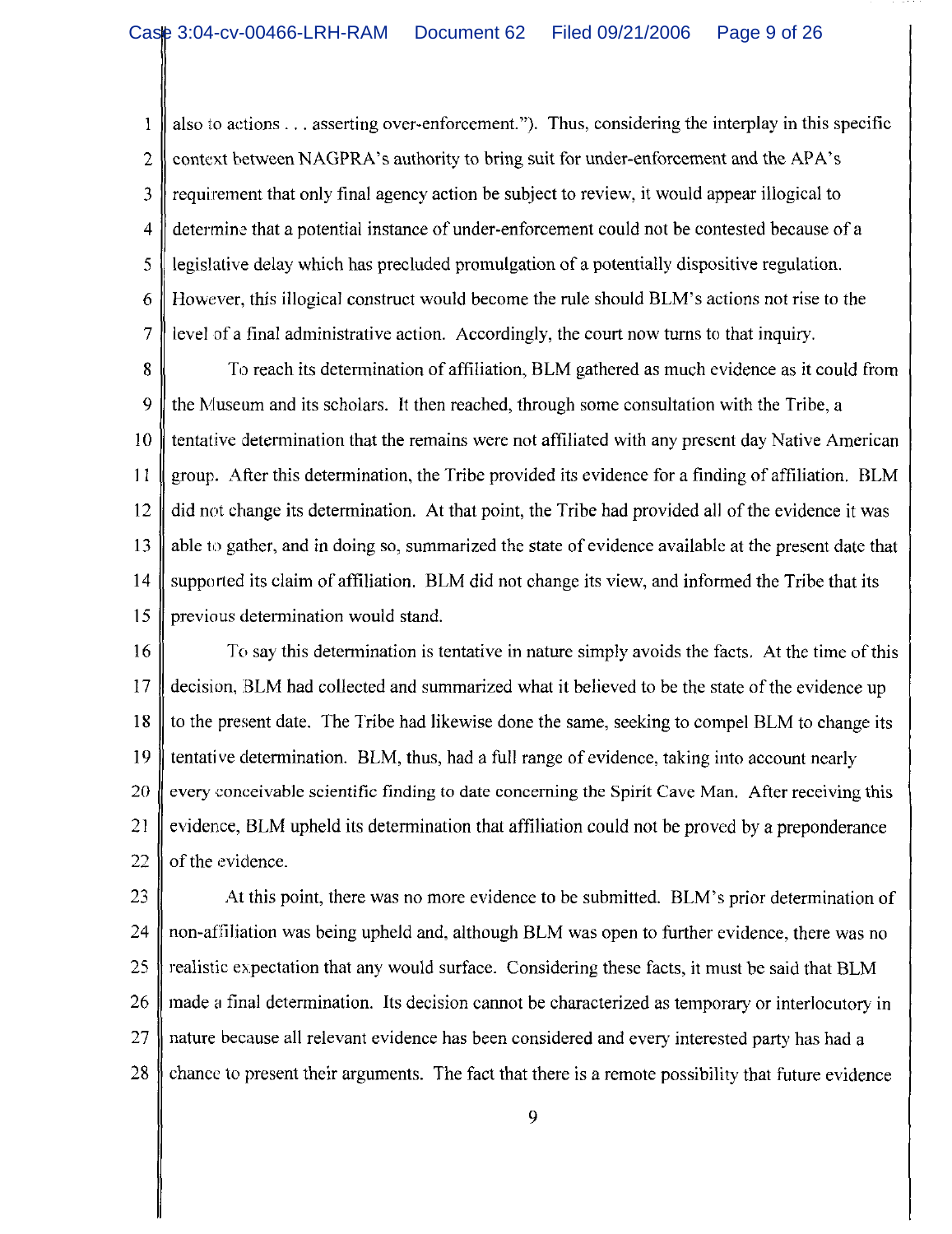also to actions . . . asserting over-enforcement."). Thus, considering the interplay in this specific 1  $\overline{2}$ context between NAGPRA's authority to bring suit for under-enforcement and the APA's 3 requirement that only final agency action be subject to review, it would appear illogical to determine that a potential instance of under-enforcement could not be contested because of a 4 5 legislative delay which has precluded promulgation of a potentially dispositive regulation. 6 However, this illogical construct would become the rule should BLM's actions not rise to the  $\overline{7}$ level of a final administrative action. Accordingly, the court now turns to that inquiry.

8 To reach its determination of affiliation, BLM gathered as much evidence as it could from 9 the Museum and its scholars. It then reached, through some consultation with the Tribe, a tentative determination that the remains were not affiliated with any present day Native American 10  $11$ group. After this determination, the Tribe provided its evidence for a finding of affiliation. BLM did not change its determination. At that point, the Tribe had provided all of the evidence it was 12 13 able to gather, and in doing so, summarized the state of evidence available at the present date that  $14$ supported its claim of affiliation. BLM did not change its view, and informed the Tribe that its 15 previous determination would stand.

16 To say this determination is tentative in nature simply avoids the facts. At the time of this decision, BLM had collected and summarized what it believed to be the state of the evidence up 17 18 to the present date. The Tribe had likewise done the same, seeking to compel BLM to change its 19 tentative determination. BLM, thus, had a full range of evidence, taking into account nearly 20 every conceivable scientific finding to date concerning the Spirit Cave Man. After receiving this 21 evidence, BLM upheld its determination that affiliation could not be proved by a preponderance  $22$ of the evidence.

23 At this point, there was no more evidence to be submitted. BLM's prior determination of 24 non-affiliation was being upheld and, although BLM was open to further evidence, there was no 25 realistic expectation that any would surface. Considering these facts, it must be said that BLM 26 made a final determination. Its decision cannot be characterized as temporary or interlocutory in nature because all relevant evidence has been considered and every interested party has had a 27 28 chance to present their arguments. The fact that there is a remote possibility that future evidence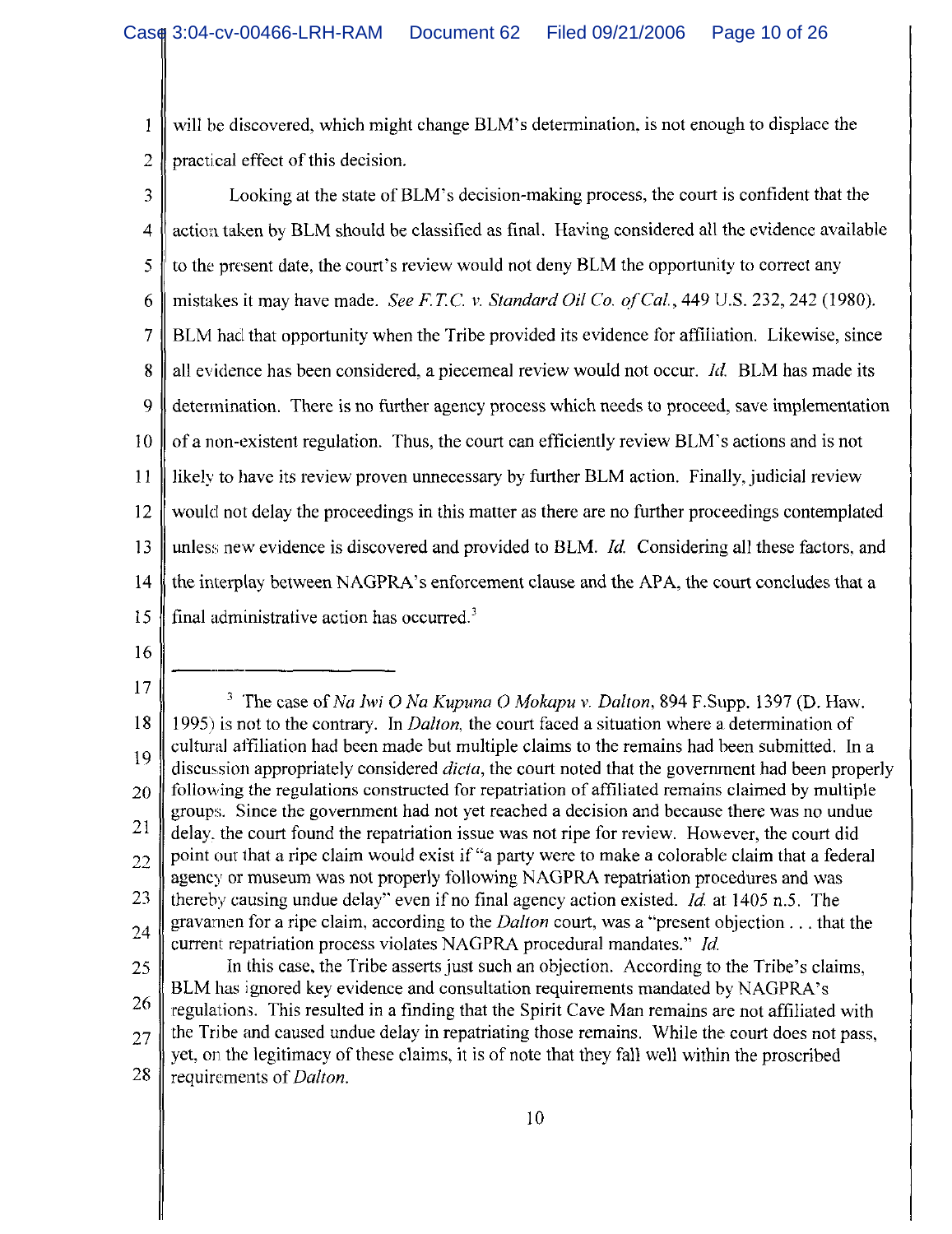will be discovered, which might change BLM's determination, is not enough to displace the 1 practical effect of this decision. 2

- Looking at the state of BLM's decision-making process, the court is confident that the 3 action taken by BLM should be classified as final. Having considered all the evidence available  $\overline{4}$ 5 to the present date, the court's review would not deny BLM the opportunity to correct any mistakes it may have made. See F.T.C. v. Standard Oil Co. of Cal., 449 U.S. 232, 242 (1980). 6 BLM had that opportunity when the Tribe provided its evidence for affiliation. Likewise, since 7 all evidence has been considered, a piecemeal review would not occur. *Id.* BLM has made its 8 9 determination. There is no further agency process which needs to proceed, save implementation of a non-existent regulation. Thus, the court can efficiently review BLM's actions and is not  $10<sup>2</sup>$ likely to have its review proven unnecessary by further BLM action. Finally, judicial review 11 would not delay the proceedings in this matter as there are no further proceedings contemplated 12 unless new evidence is discovered and provided to BLM. *Id.* Considering all these factors, and 13  $14$ the interplay between NAGPRA's enforcement clause and the APA, the court concludes that a 15 final administrative action has occurred.<sup>3</sup>
- 16
- 17

<sup>&</sup>lt;sup>3</sup> The case of Na Iwi O Na Kupuna O Mokapu v. Dalton, 894 F.Supp. 1397 (D. Haw. 18 1995) is not to the contrary. In *Dalton*, the court faced a situation where a determination of cultural affiliation had been made but multiple claims to the remains had been submitted. In a 19 discussion appropriately considered *dicta*, the court noted that the government had been properly following the regulations constructed for repatriation of affiliated remains claimed by multiple 20 groups. Since the government had not yet reached a decision and because there was no undue 21 delay, the court found the repatriation issue was not ripe for review. However, the court did point out that a ripe claim would exist if "a party were to make a colorable claim that a federal 22 agency or museum was not properly following NAGPRA repatriation procedures and was 23 thereby causing undue delay" even if no final agency action existed. *Id.* at 1405 n.5. The gravamen for a ripe claim, according to the *Dalton* court, was a "present objection . . . that the 24 current repatriation process violates NAGPRA procedural mandates." Id. In this case, the Tribe asserts just such an objection. According to the Tribe's claims, 25 BLM has ignored key evidence and consultation requirements mandated by NAGPRA's

<sup>26</sup> regulations. This resulted in a finding that the Spirit Cave Man remains are not affiliated with the Tribe and caused undue delay in repatriating those remains. While the court does not pass, 27 yet, on the legitimacy of these claims, it is of note that they fall well within the proscribed 28 requirements of *Dalton*.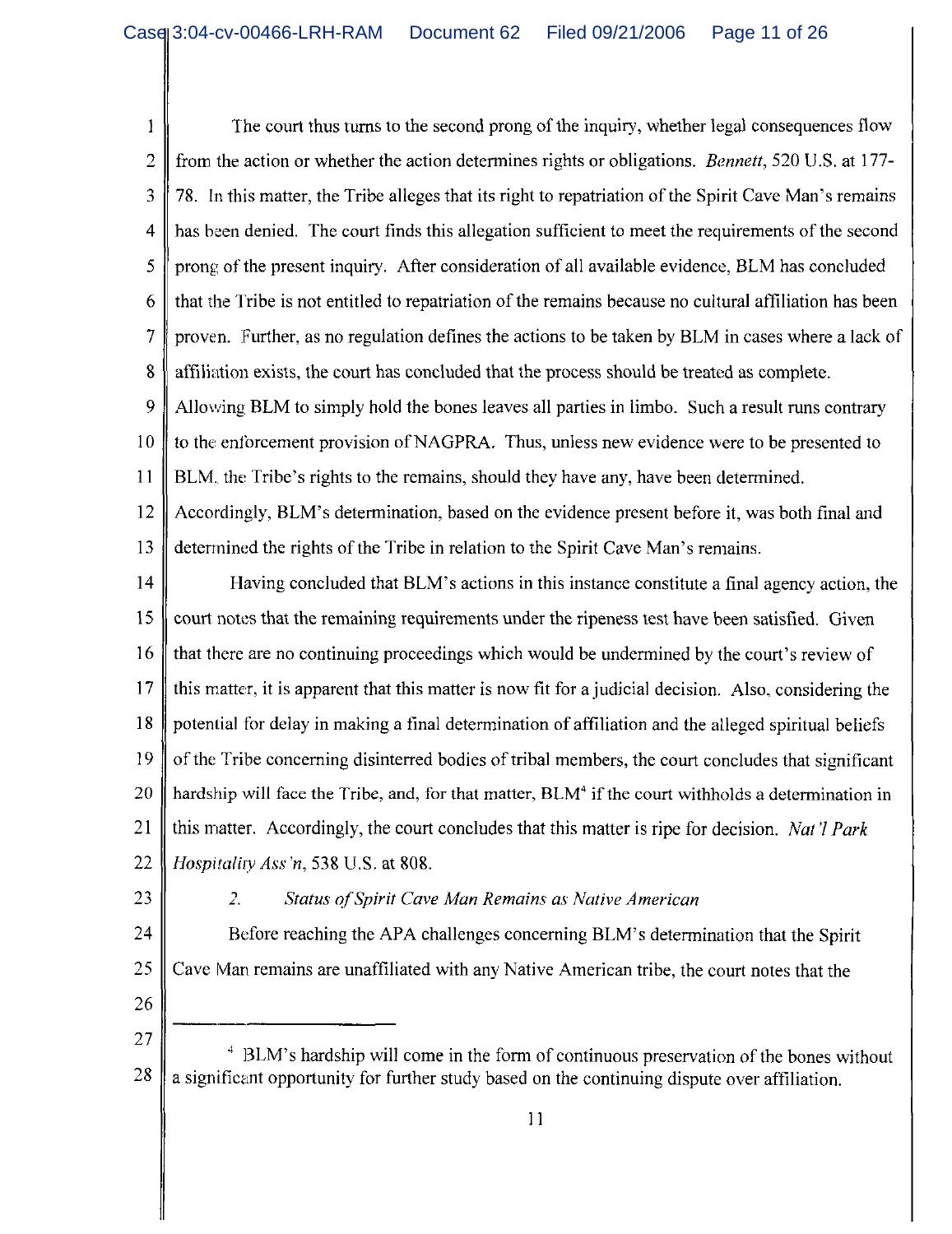The court thus turns to the second prong of the inquiry, whether legal consequences flow 1 from the action or whether the action determines rights or obligations. *Bennett*, 520 U.S. at 177- $\overline{2}$ 78. In this matter, the Tribe alleges that its right to repatriation of the Spirit Cave Man's remains 3 has been denied. The court finds this allegation sufficient to meet the requirements of the second 4 5 prong of the present inquiry. After consideration of all available evidence, BLM has concluded that the Tribe is not entitled to repatriation of the remains because no cultural affiliation has been 6  $\overline{7}$ proven. Further, as no regulation defines the actions to be taken by BLM in cases where a lack of 8 affiliation exists, the court has concluded that the process should be treated as complete. 9 Allowing BLM to simply hold the bones leaves all parties in limbo. Such a result runs contrary 10 to the enforcement provision of NAGPRA. Thus, unless new evidence were to be presented to 11 BLM, the Tribe's rights to the remains, should they have any, have been determined. Accordingly, BLM's determination, based on the evidence present before it, was both final and 12 13 determined the rights of the Tribe in relation to the Spirit Cave Man's remains. 14 Having concluded that BLM's actions in this instance constitute a final agency action, the 15 court notes that the remaining requirements under the ripeness test have been satisfied. Given

that there are no continuing proceedings which would be undermined by the court's review of 16 17 this matter, it is apparent that this matter is now fit for a judicial decision. Also, considering the 18 potential for delay in making a final determination of affiliation and the alleged spiritual beliefs 19 of the Tribe concerning disinterred bodies of tribal members, the court concludes that significant 20 hardship will face the Tribe, and, for that matter, BLM<sup>4</sup> if the court withholds a determination in 21 this matter. Accordingly, the court concludes that this matter is ripe for decision. Nat'l Park 22 Hospitality Ass'n, 538 U.S. at 808.

23

#### $\mathcal{Z}_{\mathcal{C}}$ Status of Spirit Cave Man Remains as Native American

24 Before reaching the APA challenges concerning BLM's determination that the Spirit 25 Cave Man remains are unaffiliated with any Native American tribe, the court notes that the

26

### 27 <sup>4</sup> BLM's hardship will come in the form of continuous preservation of the bones without 28 a significant opportunity for further study based on the continuing dispute over affiliation.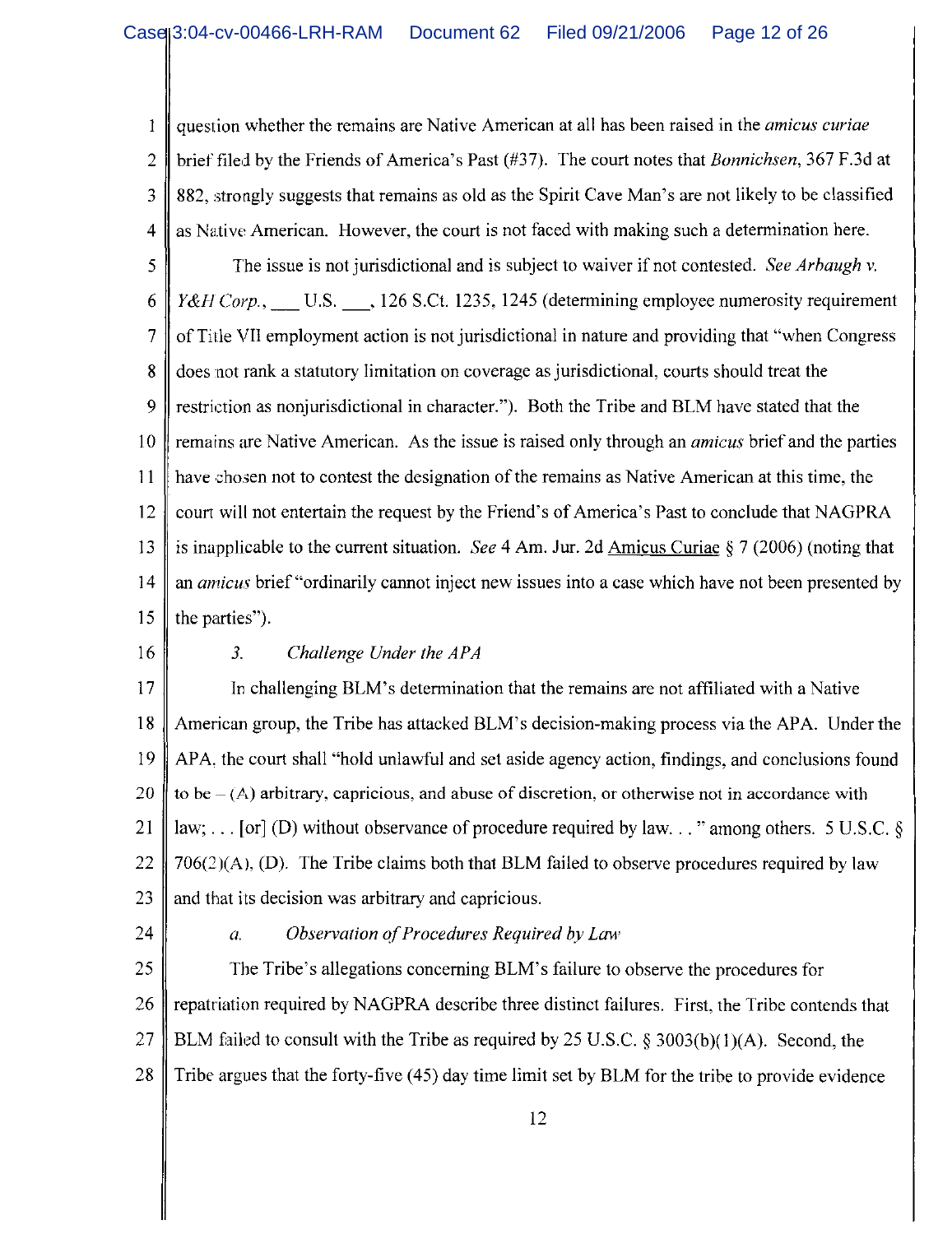question whether the remains are Native American at all has been raised in the *amicus curiae* 1 brief filed by the Friends of America's Past (#37). The court notes that Bonnichsen, 367 F.3d at  $\overline{2}$ 882, strongly suggests that remains as old as the Spirit Cave Man's are not likely to be classified 3 as Native American. However, the court is not faced with making such a determination here.  $\overline{4}$ 5 The issue is not jurisdictional and is subject to waiver if not contested. See Arbaugh v. Y&H Corp., U.S., 126 S.Ct. 1235, 1245 (determining employee numerosity requirement 6 of Title VII employment action is not jurisdictional in nature and providing that "when Congress"  $\overline{7}$ does not rank a statutory limitation on coverage as jurisdictional, courts should treat the 8 9 restriction as nonjurisdictional in character."). Both the Tribe and BLM have stated that the remains are Native American. As the issue is raised only through an *amicus* brief and the parties  $10<sup>°</sup>$ have chosen not to contest the designation of the remains as Native American at this time, the 11 court will not entertain the request by the Friend's of America's Past to conclude that NAGPRA 12 is inapplicable to the current situation. See 4 Am. Jur. 2d Amicus Curiae  $\S 7$  (2006) (noting that 13  $14$ an *amicus* brief "ordinarily cannot inject new issues into a case which have not been presented by 15 the parties").

16

#### $3<sub>1</sub>$ Challenge Under the APA

17 In challenging BLM's determination that the remains are not affiliated with a Native American group, the Tribe has attacked BLM's decision-making process via the APA. Under the 18 APA, the court shall "hold unlawful and set aside agency action, findings, and conclusions found 19 to be  $-(A)$  arbitrary, capricious, and abuse of discretion, or otherwise not in accordance with 20 21 law; ... [or] (D) without observance of procedure required by law..." among others. 5 U.S.C.  $\S$  $706(2)(A)$ , (D). The Tribe claims both that BLM failed to observe procedures required by law 22 and that its decision was arbitrary and capricious. 23

24

#### Observation of Procedures Required by Law  $\overline{a}$ .

25 The Tribe's allegations concerning BLM's failure to observe the procedures for repatriation required by NAGPRA describe three distinct failures. First, the Tribe contends that 26 27 BLM failed to consult with the Tribe as required by 25 U.S.C. § 3003(b)(1)(A). Second, the Tribe argues that the forty-five (45) day time limit set by BLM for the tribe to provide evidence 28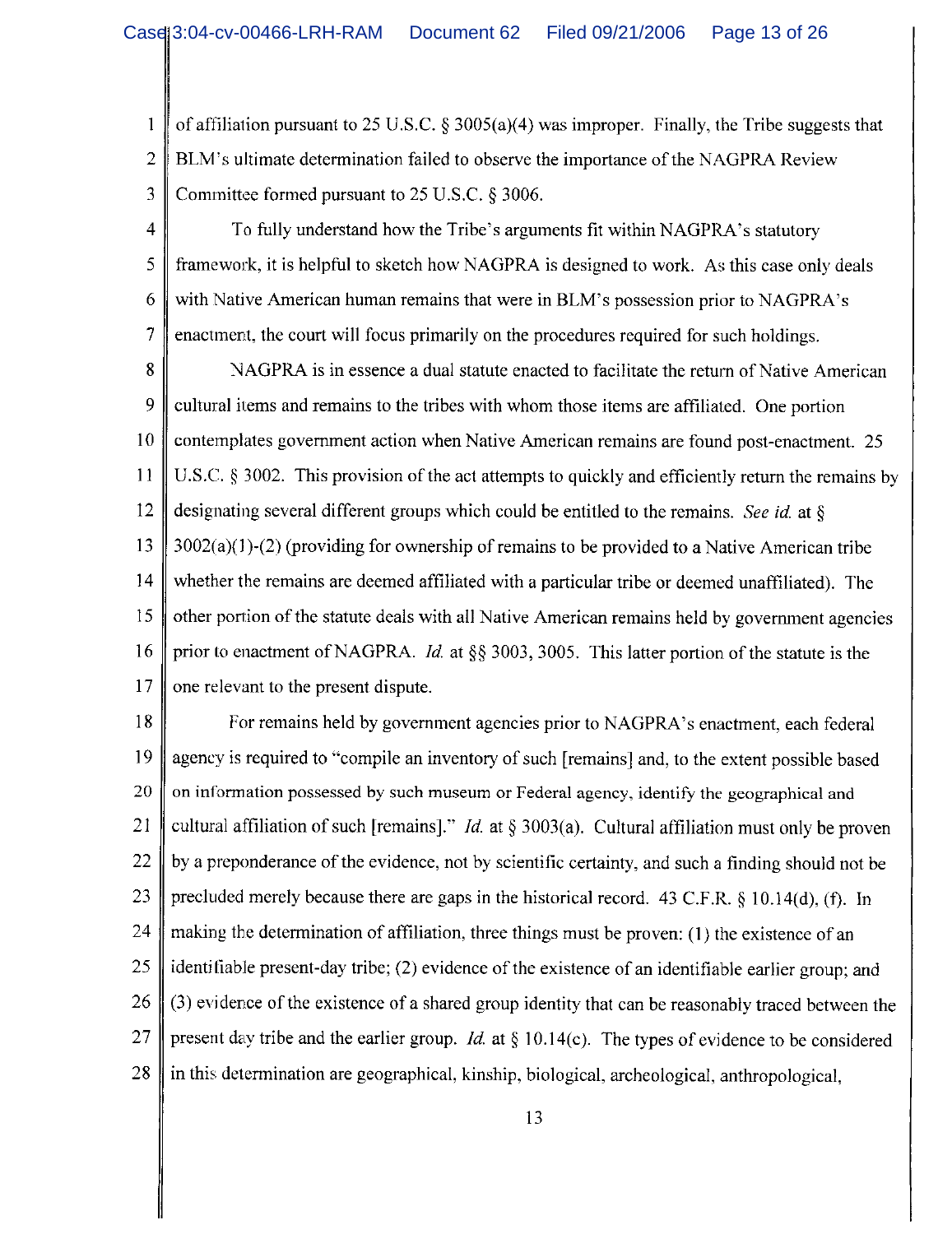of affiliation pursuant to 25 U.S.C.  $\&$  3005(a)(4) was improper. Finally, the Tribe suggests that 1  $\overline{2}$ BLM's ultimate determination failed to observe the importance of the NAGPRA Review 3 Committee formed pursuant to 25 U.S.C. § 3006.

 $\overline{4}$ To fully understand how the Tribe's arguments fit within NAGPRA's statutory 5 framework, it is helpful to sketch how NAGPRA is designed to work. As this case only deals 6 with Native American human remains that were in BLM's possession prior to NAGPRA's  $\overline{7}$ enactment, the court will focus primarily on the procedures required for such holdings.

8 NAGPRA is in essence a dual statute enacted to facilitate the return of Native American 9 cultural items and remains to the tribes with whom those items are affiliated. One portion 10 contemplates government action when Native American remains are found post-enactment. 25  $11$ U.S.C. § 3002. This provision of the act attempts to quickly and efficiently return the remains by designating several different groups which could be entitled to the remains. See id. at  $\delta$ 12 13  $3002(a)(1)-(2)$  (providing for ownership of remains to be provided to a Native American tribe whether the remains are deemed affiliated with a particular tribe or deemed unaffiliated). The 14 other portion of the statute deals with all Native American remains held by government agencies 15 16 prior to enactment of NAGPRA. *Id.* at §§ 3003, 3005. This latter portion of the statute is the one relevant to the present dispute. 17

18 For remains held by government agencies prior to NAGPRA's enactment, each federal agency is required to "compile an inventory of such [remains] and, to the extent possible based 19 20 on information possessed by such museum or Federal agency, identify the geographical and 21 cultural affiliation of such [remains]." *Id.* at  $\S 3003(a)$ . Cultural affiliation must only be proven 22 by a preponderance of the evidence, not by scientific certainty, and such a finding should not be 23 precluded merely because there are gaps in the historical record. 43 C.F.R. § 10.14(d), (f). In 24 making the determination of affiliation, three things must be proven: (1) the existence of an identifiable present-day tribe; (2) evidence of the existence of an identifiable earlier group; and 25 (3) evidence of the existence of a shared group identity that can be reasonably traced between the 26 present day tribe and the earlier group. *Id.* at § 10.14(c). The types of evidence to be considered 27 in this determination are geographical, kinship, biological, archeological, anthropological, 28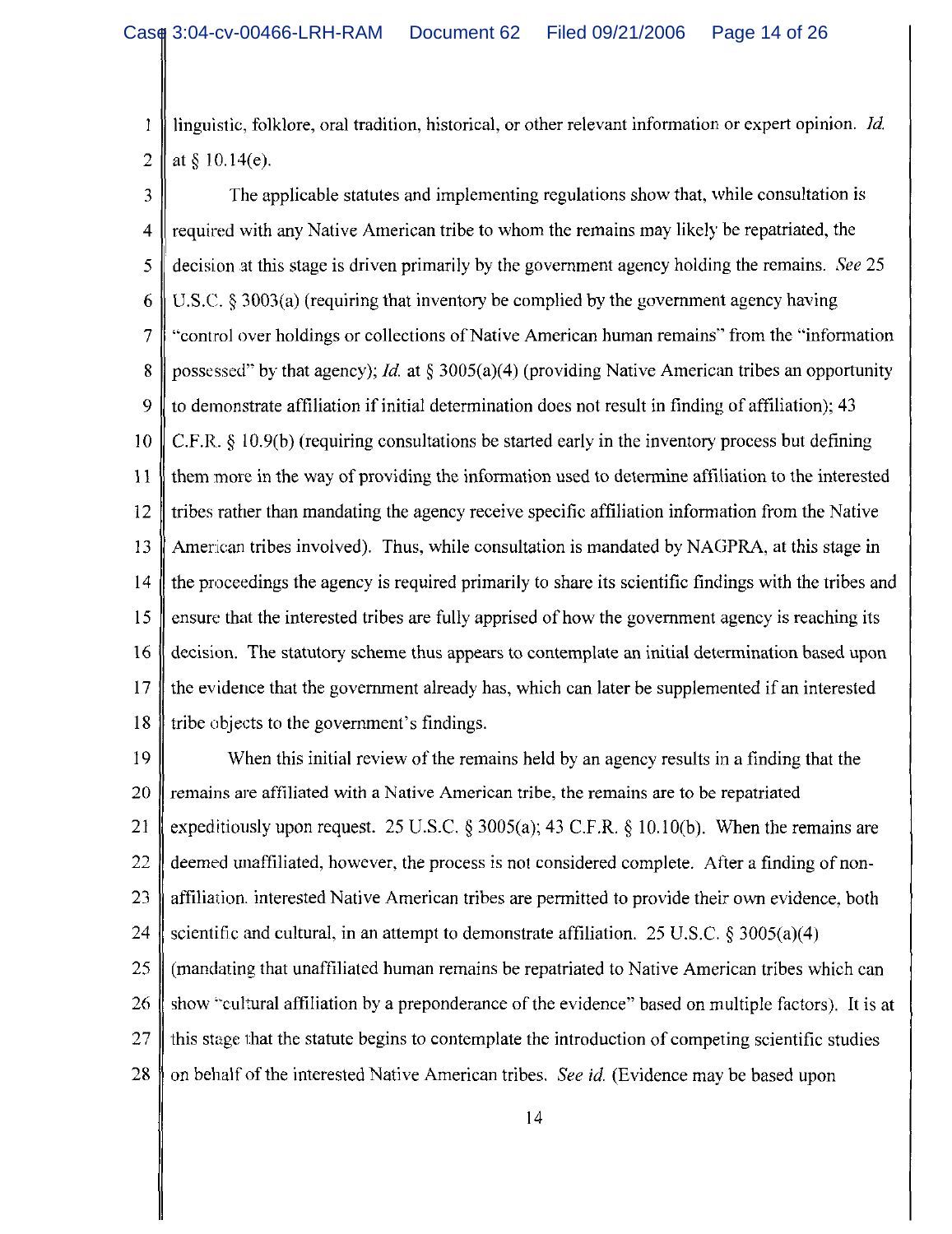linguistic, folklore, oral tradition, historical, or other relevant information or expert opinion. Id. 1 at  $§$  10.14(e).  $\overline{2}$ 

The applicable statutes and implementing regulations show that, while consultation is 3  $\overline{4}$ required with any Native American tribe to whom the remains may likely be repatriated, the 5 decision at this stage is driven primarily by the government agency holding the remains. See 25 U.S.C.  $\S$  3003(a) (requiring that inventory be complied by the government agency having 6 "control over holdings or collections of Native American human remains" from the "information" 7 possessed" by that agency); *Id.* at § 3005(a)(4) (providing Native American tribes an opportunity 8 9 to demonstrate affiliation if initial determination does not result in finding of affiliation); 43 C.F.R.  $\S$  10.9(b) (requiring consultations be started early in the inventory process but defining  $10$ them more in the way of providing the information used to determine affiliation to the interested 11 tribes rather than mandating the agency receive specific affiliation information from the Native 12 American tribes involved). Thus, while consultation is mandated by NAGPRA, at this stage in 13 14 the proceedings the agency is required primarily to share its scientific findings with the tribes and 15 ensure that the interested tribes are fully apprised of how the government agency is reaching its decision. The statutory scheme thus appears to contemplate an initial determination based upon 16 the evidence that the government already has, which can later be supplemented if an interested 17 tribe objects to the government's findings. 18

19 When this initial review of the remains held by an agency results in a finding that the remains are affiliated with a Native American tribe, the remains are to be repatriated 20 expeditiously upon request. 25 U.S.C. § 3005(a); 43 C.F.R. § 10.10(b). When the remains are 21 22 deemed unaffiliated, however, the process is not considered complete. After a finding of non-23 affiliation. interested Native American tribes are permitted to provide their own evidence, both 24 scientific and cultural, in an attempt to demonstrate affiliation. 25 U.S.C.  $\S 3005(a)(4)$ 25 (mandating that unaffiliated human remains be repatriated to Native American tribes which can show "cultural affiliation by a preponderance of the evidence" based on multiple factors). It is at 26 27 this stage that the statute begins to contemplate the introduction of competing scientific studies on behalf of the interested Native American tribes. See id. (Evidence may be based upon 28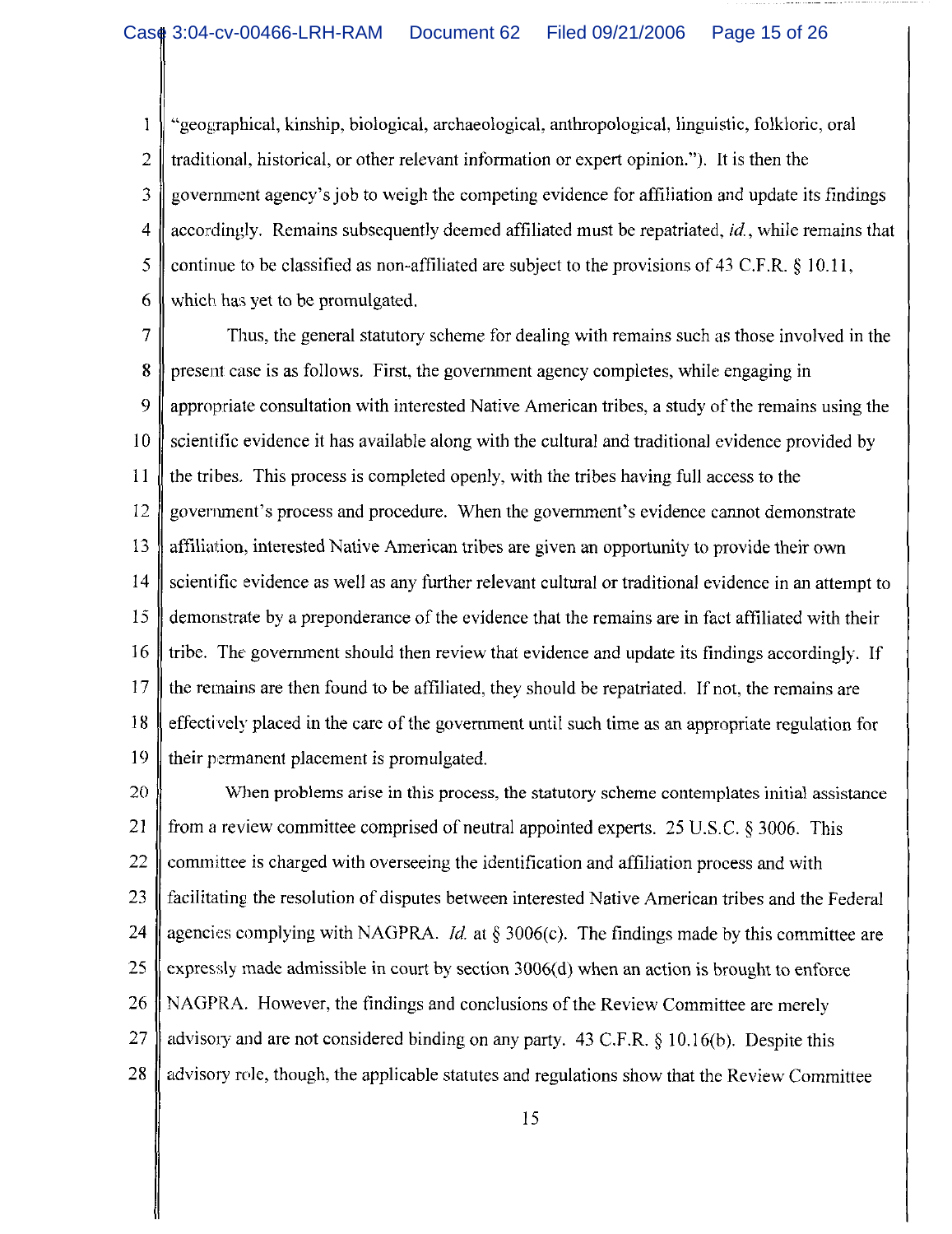"geographical, kinship, biological, archaeological, anthropological, linguistic, folkloric, oral 1  $\overline{2}$ traditional, historical, or other relevant information or expert opinion."). It is then the government agency's job to weigh the competing evidence for affiliation and update its findings 3  $\overline{4}$ accordingly. Remains subsequently deemed affiliated must be repatriated, *id.*, while remains that 5 continue to be classified as non-affiliated are subject to the provisions of 43 C.F.R.  $\S 10.11$ , 6 which has yet to be promulgated.

 $\overline{7}$ Thus, the general statutory scheme for dealing with remains such as those involved in the 8 present case is as follows. First, the government agency completes, while engaging in 9 appropriate consultation with interested Native American tribes, a study of the remains using the  $10$ scientific evidence it has available along with the cultural and traditional evidence provided by 11 the tribes. This process is completed openly, with the tribes having full access to the 12 government's process and procedure. When the government's evidence cannot demonstrate 13 affiliation, interested Native American tribes are given an opportunity to provide their own 14 scientific evidence as well as any further relevant cultural or traditional evidence in an attempt to  $15$ demonstrate by a preponderance of the evidence that the remains are in fact affiliated with their 16 tribe. The government should then review that evidence and update its findings accordingly. If 17 the remains are then found to be affiliated, they should be repatriated. If not, the remains are effectively placed in the care of the government until such time as an appropriate regulation for 18 19 their permanent placement is promulgated.

20 When problems arise in this process, the statutory scheme contemplates initial assistance 21 from a review committee comprised of neutral appointed experts. 25 U.S.C.  $\&$  3006. This 22 committee is charged with overseeing the identification and affiliation process and with 23 facilitating the resolution of disputes between interested Native American tribes and the Federal 24 agencies complying with NAGPRA. *Id.* at  $\S 3006(c)$ . The findings made by this committee are expressly made admissible in court by section 3006(d) when an action is brought to enforce 25 26 NAGPRA. However, the findings and conclusions of the Review Committee are merely 27 advisory and are not considered binding on any party. 43 C.F.R. § 10.16(b). Despite this 28 advisory role, though, the applicable statutes and regulations show that the Review Committee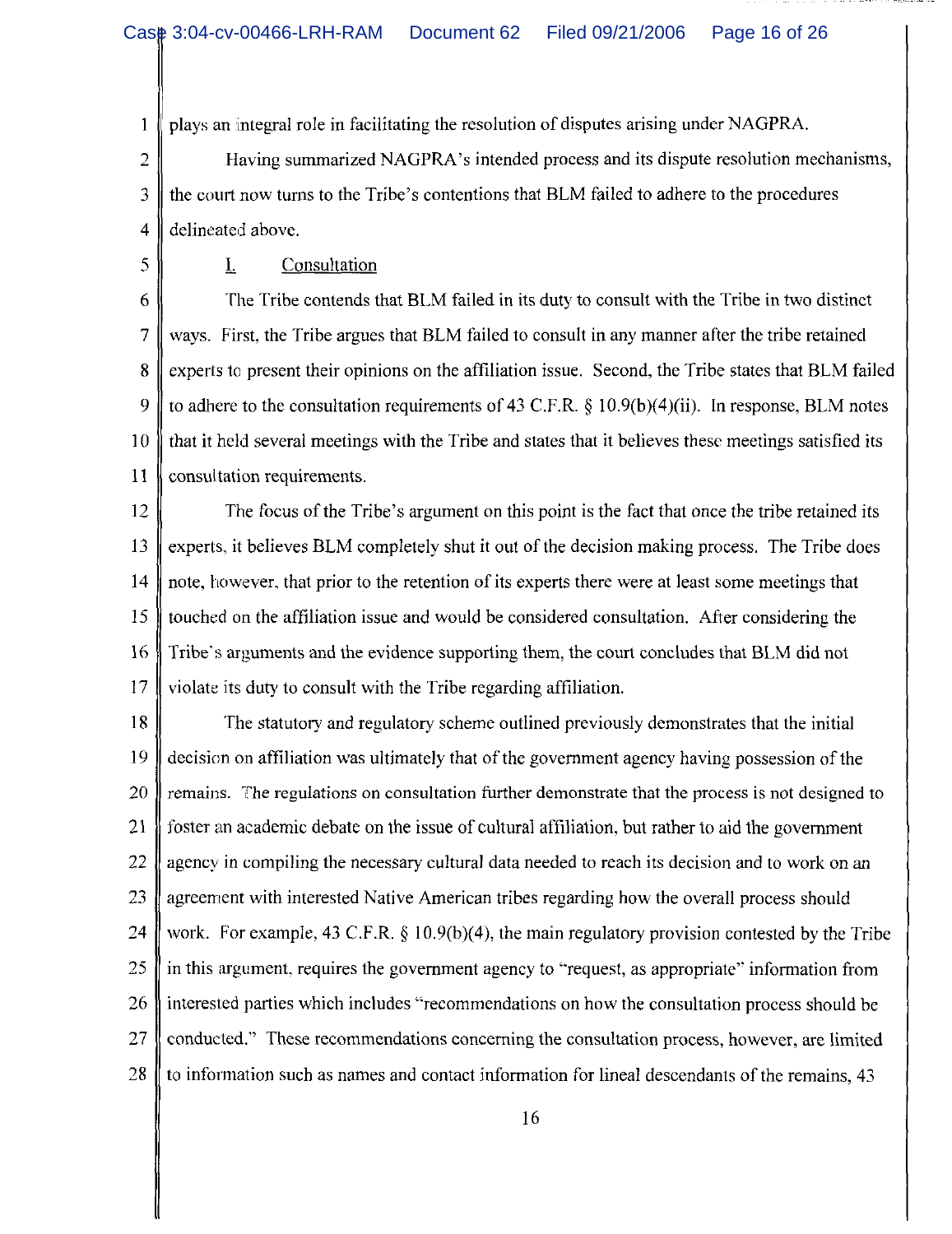plays an integral role in facilitating the resolution of disputes arising under NAGPRA.  $\mathbf{1}$ 

 $\overline{2}$ Having summarized NAGPRA's intended process and its dispute resolution mechanisms, the court now turns to the Tribe's contentions that BLM failed to adhere to the procedures 3  $\overline{4}$ delineated above.

5

## Consultation

T.

The Tribe contends that BLM failed in its duty to consult with the Tribe in two distinct 6  $\overline{7}$ ways. First, the Tribe argues that BLM failed to consult in any manner after the tribe retained 8 experts to present their opinions on the affiliation issue. Second, the Tribe states that BLM failed 9 to adhere to the consultation requirements of 43 C.F.R.  $\S$  10.9(b)(4)(ii). In response, BLM notes  $10$ that it held several meetings with the Tribe and states that it believes these meetings satisfied its consultation requirements. 11

 $12$ The focus of the Tribe's argument on this point is the fact that once the tribe retained its 13 experts, it believes BLM completely shut it out of the decision making process. The Tribe does 14 note, however, that prior to the retention of its experts there were at least some meetings that 15 touched on the affiliation issue and would be considered consultation. After considering the Tribe's arguments and the evidence supporting them, the court concludes that BLM did not 16 17 violate its duty to consult with the Tribe regarding affiliation.

18 The statutory and regulatory scheme outlined previously demonstrates that the initial 19 decision on affiliation was ultimately that of the government agency having possession of the 20 remains. The regulations on consultation further demonstrate that the process is not designed to 21 foster an academic debate on the issue of cultural affiliation, but rather to aid the government 22 agency in compiling the necessary cultural data needed to reach its decision and to work on an 23 agreement with interested Native American tribes regarding how the overall process should 24 work. For example, 43 C.F.R.  $\S$  10.9(b)(4), the main regulatory provision contested by the Tribe 25 in this argument, requires the government agency to "request, as appropriate" information from 26 interested parties which includes "recommendations on how the consultation process should be conducted." These recommendations concerning the consultation process, however, are limited 27 28 to information such as names and contact information for lineal descendants of the remains, 43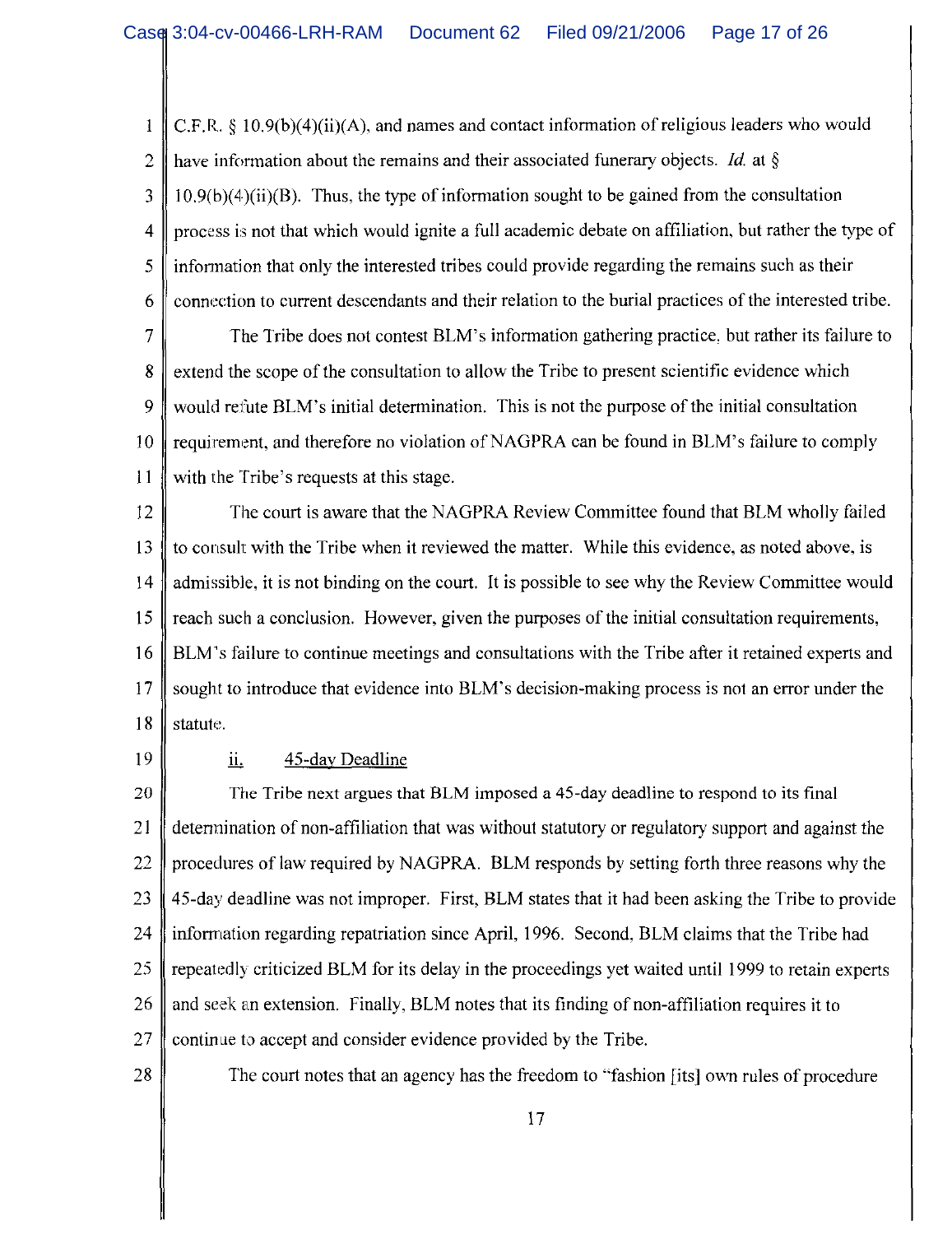C.F.R.  $\{10.9(b)(4)(ii)(A)\}$ , and names and contact information of religious leaders who would 1 have information about the remains and their associated funerary objects. *Id.* at  $\S$  $\overline{2}$  $10.9(b)(4)(ii)(B)$ . Thus, the type of information sought to be gained from the consultation 3 process is not that which would ignite a full academic debate on affiliation, but rather the type of  $\overline{4}$ 5 information that only the interested tribes could provide regarding the remains such as their connection to current descendants and their relation to the burial practices of the interested tribe. 6

The Tribe does not contest BLM's information gathering practice, but rather its failure to 7 extend the scope of the consultation to allow the Tribe to present scientific evidence which 8 9 would refute BLM's initial determination. This is not the purpose of the initial consultation requirement, and therefore no violation of NAGPRA can be found in BLM's failure to comply 10 with the Tribe's requests at this stage. 11

The court is aware that the NAGPRA Review Committee found that BLM wholly failed 12 to consult with the Tribe when it reviewed the matter. While this evidence, as noted above, is 13  $14$ admissible, it is not binding on the court. It is possible to see why the Review Committee would 15 reach such a conclusion. However, given the purposes of the initial consultation requirements, BLM's failure to continue meetings and consultations with the Tribe after it retained experts and 16 sought to introduce that evidence into BLM's decision-making process is not an error under the 17 18 statute.

19

#### ii. 45-day Deadline

The Tribe next argues that BLM imposed a 45-day deadline to respond to its final 20 determination of non-affiliation that was without statutory or regulatory support and against the 21 22 procedures of law required by NAGPRA. BLM responds by setting forth three reasons why the 45-day deadline was not improper. First, BLM states that it had been asking the Tribe to provide 23 information regarding repatriation since April, 1996. Second, BLM claims that the Tribe had 24 25 repeatedly criticized BLM for its delay in the proceedings yet waited until 1999 to retain experts and seek an extension. Finally, BLM notes that its finding of non-affiliation requires it to 26 27 continue to accept and consider evidence provided by the Tribe.

28

The court notes that an agency has the freedom to "fashion [its] own rules of procedure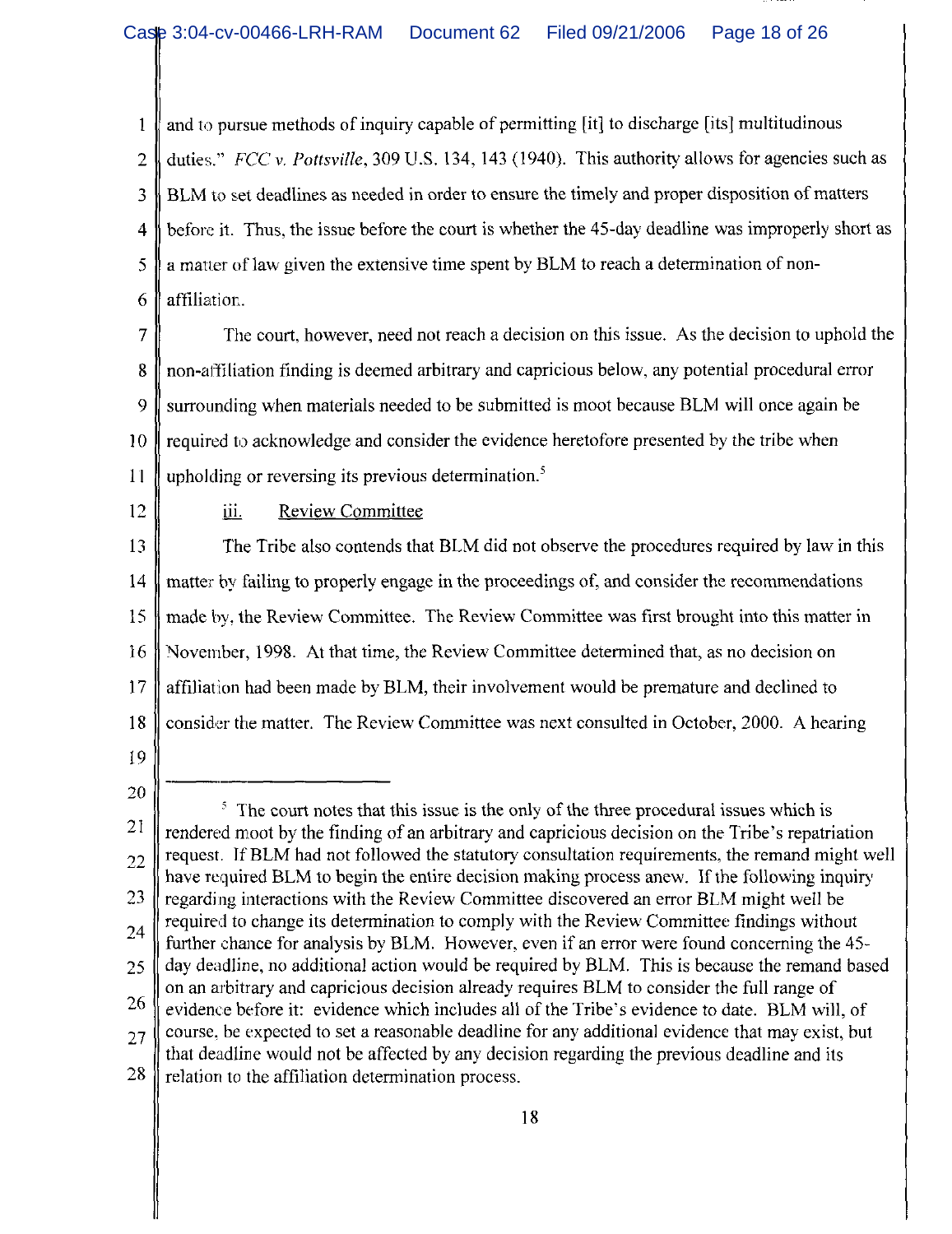and to pursue methods of inquiry capable of permitting [it] to discharge [its] multitudinous  $\mathbf{1}$  $\overline{2}$ duties." FCC v. Pottsville, 309 U.S. 134, 143 (1940). This authority allows for agencies such as BLM to set deadlines as needed in order to ensure the timely and proper disposition of matters 3 before it. Thus, the issue before the court is whether the 45-day deadline was improperly short as  $\overline{4}$ a matter of law given the extensive time spent by BLM to reach a determination of non-5 6 affiliation.

 $\overline{7}$ The court, however, need not reach a decision on this issue. As the decision to uphold the non-affiliation finding is deemed arbitrary and capricious below, any potential procedural error 8 9 surrounding when materials needed to be submitted is moot because BLM will once again be required to acknowledge and consider the evidence heretofore presented by the tribe when  $10$ upholding or reversing its previous determination.<sup>5</sup>  $11$ 

12

#### iii. **Review Committee**

13 The Tribe also contends that BLM did not observe the procedures required by law in this matter by failing to properly engage in the proceedings of, and consider the recommendations -14 15 made by, the Review Committee. The Review Committee was first brought into this matter in 16 November, 1998. At that time, the Review Committee determined that, as no decision on  $17$ affiliation had been made by BLM, their involvement would be premature and declined to consider the matter. The Review Committee was next consulted in October, 2000. A hearing 18

19

<sup>20</sup>  $\frac{1}{3}$ . The court notes that this issue is the only of the three procedural issues which is 21 rendered moot by the finding of an arbitrary and capricious decision on the Tribe's repatriation request. If BLM had not followed the statutory consultation requirements, the remand might well 22 have required BLM to begin the entire decision making process anew. If the following inquiry 23 regarding interactions with the Review Committee discovered an error BLM might well be required to change its determination to comply with the Review Committee findings without 24 further chance for analysis by BLM. However, even if an error were found concerning the 45day deadline, no additional action would be required by BLM. This is because the remand based 25 on an arbitrary and capricious decision already requires BLM to consider the full range of 26 evidence before it: evidence which includes all of the Tribe's evidence to date. BLM will, of course, be expected to set a reasonable deadline for any additional evidence that may exist, but 27 that deadline would not be affected by any decision regarding the previous deadline and its 28 relation to the affiliation determination process.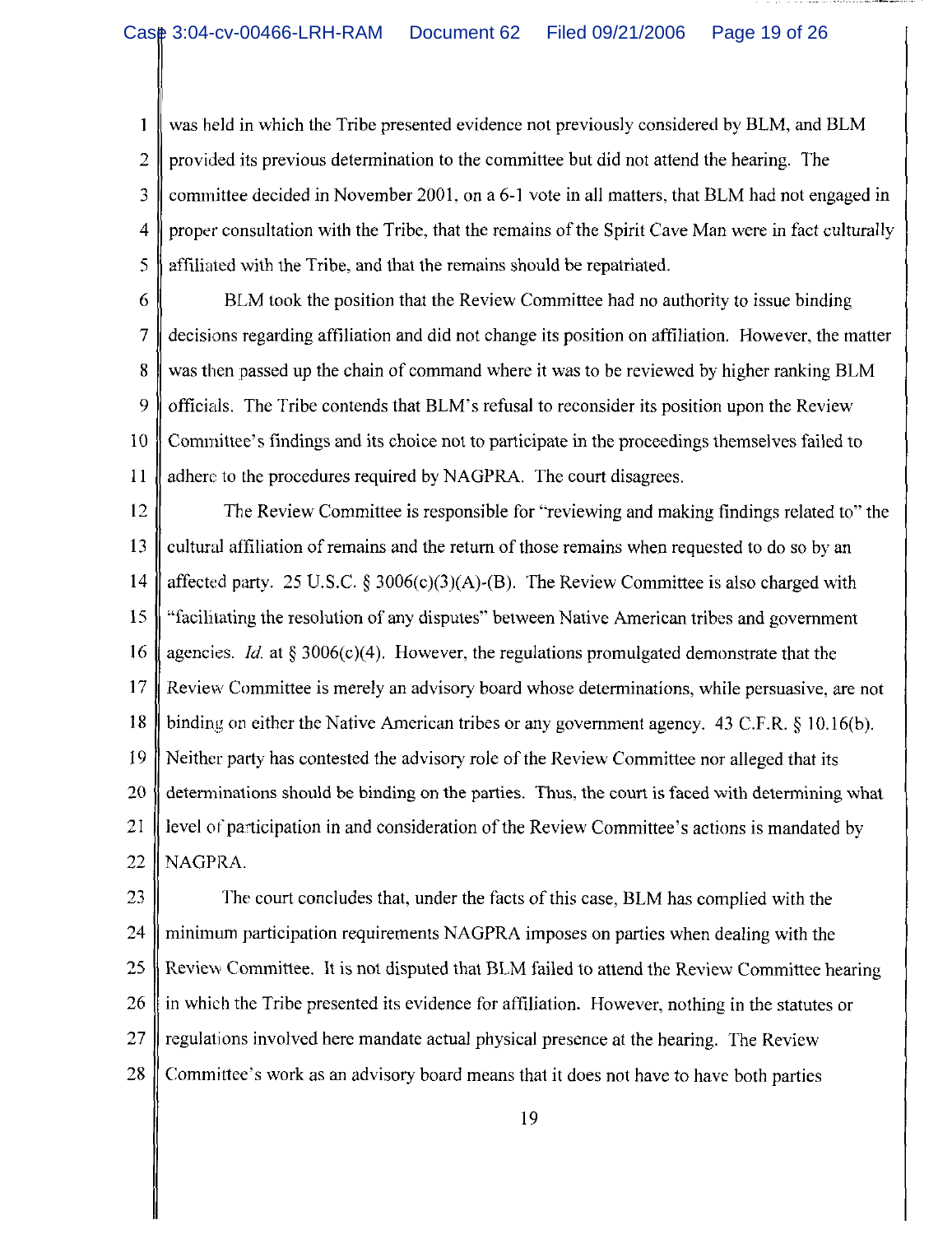$\mathbf{1}$ was held in which the Tribe presented evidence not previously considered by BLM, and BLM  $\overline{2}$ provided its previous determination to the committee but did not attend the hearing. The 3 committee decided in November 2001, on a 6-1 vote in all matters, that BLM had not engaged in  $\overline{4}$ proper consultation with the Tribe, that the remains of the Spirit Cave Man were in fact culturally 5 affiliated with the Tribe, and that the remains should be repatriated.

6

BLM took the position that the Review Committee had no authority to issue binding  $\overline{7}$ decisions regarding affiliation and did not change its position on affiliation. However, the matter 8 was then passed up the chain of command where it was to be reviewed by higher ranking BLM 9 officials. The Tribe contends that BLM's refusal to reconsider its position upon the Review  $10$ Committee's findings and its choice not to participate in the proceedings themselves failed to  $11$ adhere to the procedures required by NAGPRA. The court disagrees.

12 The Review Committee is responsible for "reviewing and making findings related to" the 13 cultural affiliation of remains and the return of those remains when requested to do so by an  $14$ affected party. 25 U.S.C. § 3006(c)(3)(A)-(B). The Review Committee is also charged with 15 "facilitating the resolution of any disputes" between Native American tribes and government 16 agencies. *Id.* at § 3006(c)(4). However, the regulations promulgated demonstrate that the Review Committee is merely an advisory board whose determinations, while persuasive, are not 17 binding on either the Native American tribes or any government agency. 43 C.F.R. § 10.16(b). 18 19 Neither party has contested the advisory role of the Review Committee nor alleged that its 20 determinations should be binding on the parties. Thus, the court is faced with determining what 21 level of participation in and consideration of the Review Committee's actions is mandated by  $22$ NAGPRA.

23 The court concludes that, under the facts of this case, BLM has complied with the 24 minimum participation requirements NAGPRA imposes on parties when dealing with the 25 Review Committee. It is not disputed that BLM failed to attend the Review Committee hearing 26 in which the Tribe presented its evidence for affiliation. However, nothing in the statutes or 27 regulations involved here mandate actual physical presence at the hearing. The Review 28 Committee's work as an advisory board means that it does not have to have both parties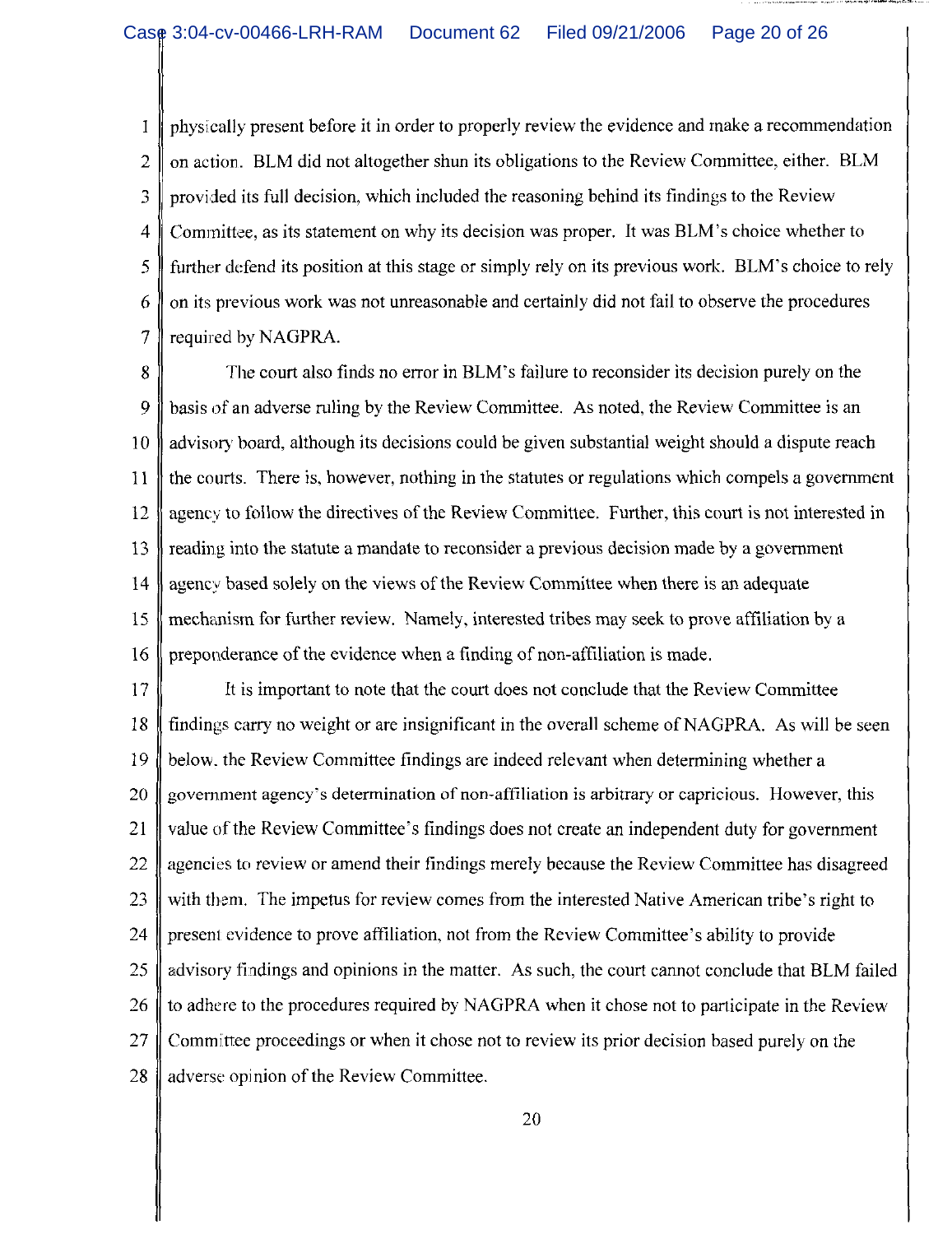physically present before it in order to properly review the evidence and make a recommendation 1 on action. BLM did not altogether shun its obligations to the Review Committee, either. BLM 2 3 provided its full decision, which included the reasoning behind its findings to the Review Committee, as its statement on why its decision was proper. It was BLM's choice whether to  $\overline{4}$ 5 further defend its position at this stage or simply rely on its previous work. BLM's choice to rely on its previous work was not unreasonable and certainly did not fail to observe the procedures 6  $\overline{7}$ required by NAGPRA.

8 The court also finds no error in BLM's failure to reconsider its decision purely on the basis of an adverse ruling by the Review Committee. As noted, the Review Committee is an 9 advisory board, although its decisions could be given substantial weight should a dispute reach  $10$ the courts. There is, however, nothing in the statures or regulations which compels a government 11  $12$ agency to follow the directives of the Review Committee. Further, this court is not interested in 13 reading into the statute a mandate to reconsider a previous decision made by a government 14 agency based solely on the views of the Review Committee when there is an adequate 15 mechanism for further review. Namely, interested tribes may seek to prove affiliation by a 16 preponderance of the evidence when a finding of non-affiliation is made.

 $17$ It is important to note that the court does not conclude that the Review Committee 18 findings carry no weight or are insignificant in the overall scheme of NAGPRA. As will be seen 19 below, the Review Committee findings are indeed relevant when determining whether a 20 government agency's determination of non-affiliation is arbitrary or capricious. However, this 21 value of the Review Committee's findings does not create an independent duty for government 22 agencies to review or amend their findings merely because the Review Committee has disagreed 23 with them. The impetus for review comes from the interested Native American tribe's right to 24 present evidence to prove affiliation, not from the Review Committee's ability to provide 25 advisory findings and opinions in the matter. As such, the court cannot conclude that BLM failed 26 to adhere to the procedures required by NAGPRA when it chose not to participate in the Review 27 Committee proceedings or when it chose not to review its prior decision based purely on the 28 adverse opinion of the Review Committee.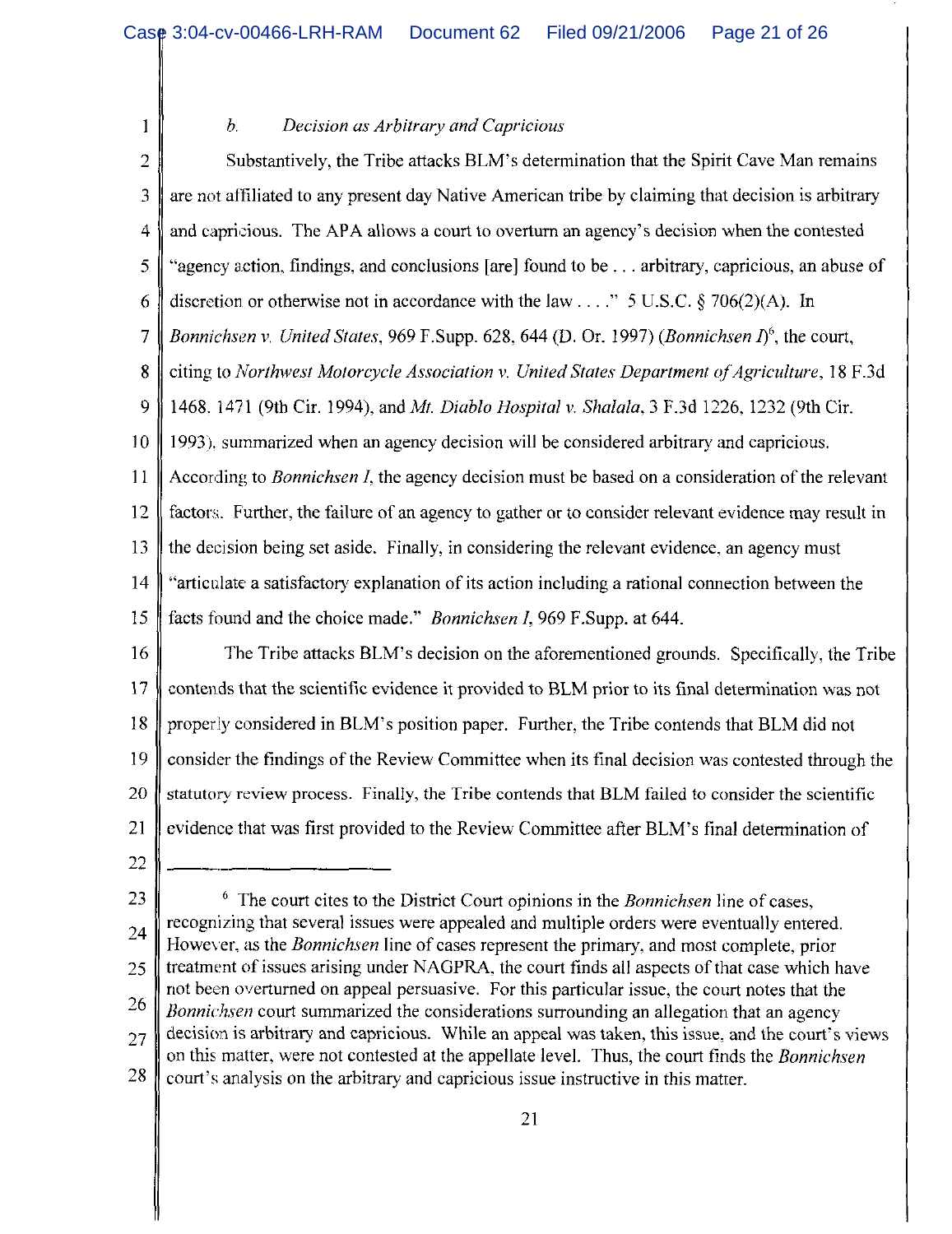Decision as Arbitrary and Capricious  $b$ .

 $\overline{2}$ Substantively, the Tribe attacks BLM's determination that the Spirit Cave Man remains are not affiliated to any present day Native American tribe by claiming that decision is arbitrary 3 and capricious. The APA allows a court to overturn an agency's decision when the contested  $\overline{4}$ 5 "agency action, findings, and conclusions [are] found to be . . . arbitrary, capricious, an abuse of discretion or otherwise not in accordance with the law . . . . " 5 U.S.C. § 706(2)(A). In 6  $\overline{7}$ Bonnichsen v. United States, 969 F.Supp. 628, 644 (D. Or. 1997) (Bonnichsen  $I^6$ , the court,  $\boldsymbol{8}$ citing to Northwest Motorcycle Association v. United States Department of Agriculture, 18 F.3d 9 1468. 1471 (9th Cir. 1994), and Mt. Diablo Hospital v. Shalala, 3 F.3d 1226, 1232 (9th Cir.  $10$ 1993), summarized when an agency decision will be considered arbitrary and capricious. 11 According to *Bonnichsen I*, the agency decision must be based on a consideration of the relevant 12 factors. Further, the failure of an agency to gather or to consider relevant evidence may result in 13 the decision being set aside. Finally, in considering the relevant evidence, an agency must 14 "articulate a satisfactory explanation of its action including a rational connection between the 15 facts found and the choice made." *Bonnichsen I*, 969 F.Supp. at 644. 16 The Tribe attacks BLM's decision on the aforementioned grounds. Specifically, the Tribe 17 contends that the scientific evidence it provided to BLM prior to its final determination was not 18 properly considered in BLM's position paper. Further, the Tribe contends that BLM did not 19 consider the findings of the Review Committee when its final decision was contested through the

20 statutory review process. Finally, the Tribe contends that BLM failed to consider the scientific 21 evidence that was first provided to the Review Committee after BLM's final determination of

22

 $\mathbf{1}$ 

 $6$  The court cites to the District Court opinions in the Bonnichsen line of cases, 23 recognizing that several issues were appealed and multiple orders were eventually entered. 24 However, as the *Bonnichsen* line of cases represent the primary, and most complete, prior treatment of issues arising under NAGPRA, the court finds all aspects of that case which have 25 not been overturned on appeal persuasive. For this particular issue, the court notes that the 26 *Bonnichsen* court summarized the considerations surrounding an allegation that an agency decision is arbitrary and capricious. While an appeal was taken, this issue, and the court's views 27 on this matter, were not contested at the appellate level. Thus, the court finds the *Bonnichsen* 28 court's analysis on the arbitrary and capricious issue instructive in this matter.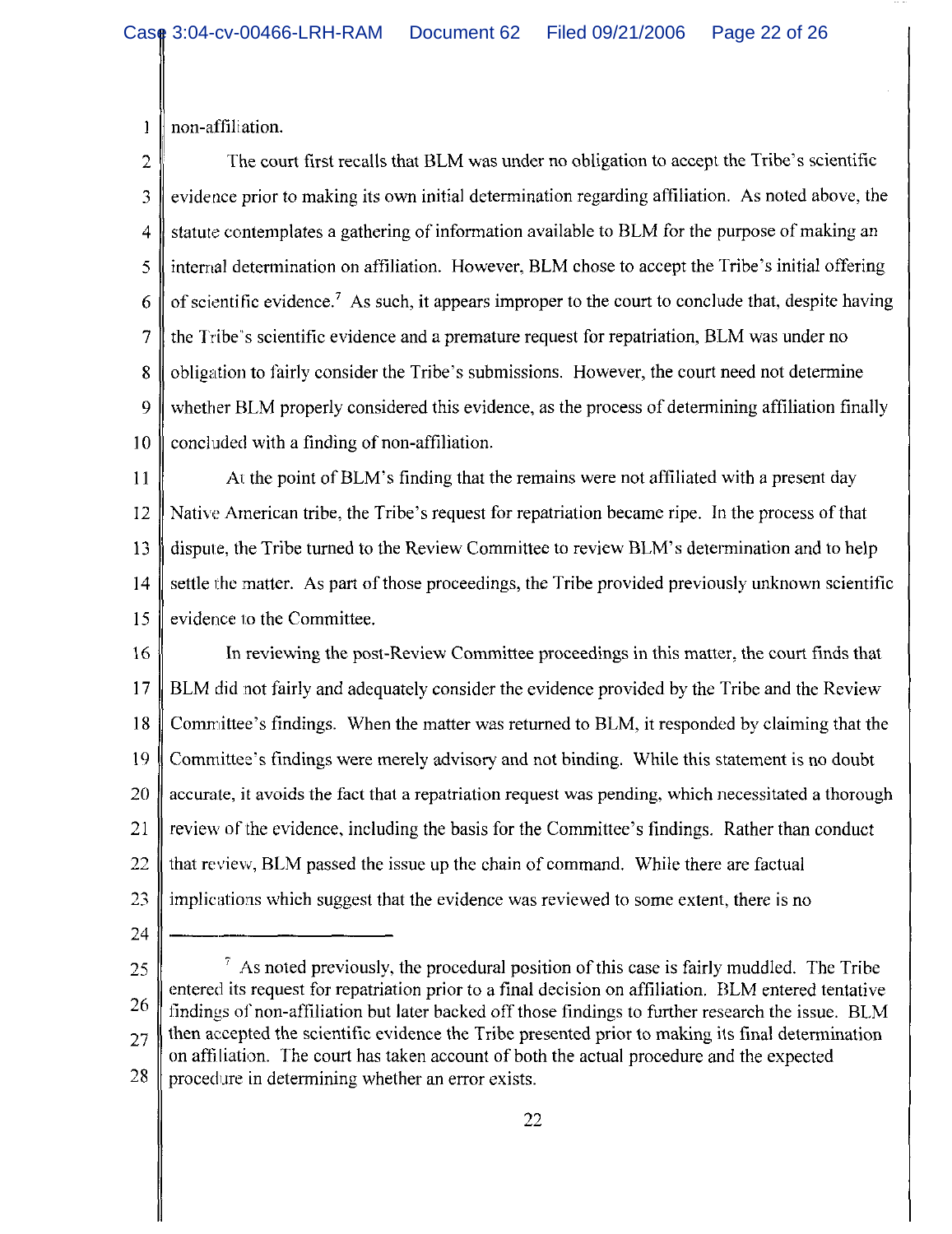non-affiliation.  $\mathbf{1}$ 

The court first recalls that BLM was under no obligation to accept the Tribe's scientific  $\overline{2}$ evidence prior to making its own initial determination regarding affiliation. As noted above, the 3 statute contemplates a gathering of information available to BLM for the purpose of making an  $\overline{4}$ internal determination on affiliation. However, BLM chose to accept the Tribe's initial offering 5 of scientific evidence.<sup>7</sup> As such, it appears improper to the court to conclude that, despite having 6  $\overline{7}$ the Tribe's scientific evidence and a premature request for repatriation, BLM was under no 8 obligation to fairly consider the Tribe's submissions. However, the court need not determine 9 whether BLM properly considered this evidence, as the process of determining affiliation finally concluded with a finding of non-affiliation.  $10$ 

At the point of BLM's finding that the remains were not affiliated with a present day 11 Native American tribe, the Tribe's request for repatriation became ripe. In the process of that 12 dispute, the Tribe turned to the Review Committee to review BLM's determination and to help 13  $14$ settle the matter. As part of those proceedings, the Tribe provided previously unknown scientific evidence to the Committee. 15

16 In reviewing the post-Review Committee proceedings in this matter, the court finds that 17 BLM did not fairly and adequately consider the evidence provided by the Tribe and the Review 18 Committee's findings. When the matter was returned to BLM, it responded by claiming that the 19 Committee's findings were merely advisory and not binding. While this statement is no doubt 20 accurate, it avoids the fact that a repatriation request was pending, which necessitated a thorough 21 review of the evidence, including the basis for the Committee's findings. Rather than conduct 22 that review, BLM passed the issue up the chain of command. While there are factual 23 implications which suggest that the evidence was reviewed to some extent, there is no

24

 $\frac{7}{7}$  As noted previously, the procedural position of this case is fairly muddled. The Tribe 25 entered its request for repatriation prior to a final decision on affiliation. BLM entered tentative 26 findings of non-affiliation but later backed off those findings to further research the issue. BLM then accepted the scientific evidence the Tribe presented prior to making its final determination  $27$ on affiliation. The court has taken account of both the actual procedure and the expected 28 procedure in determining whether an error exists.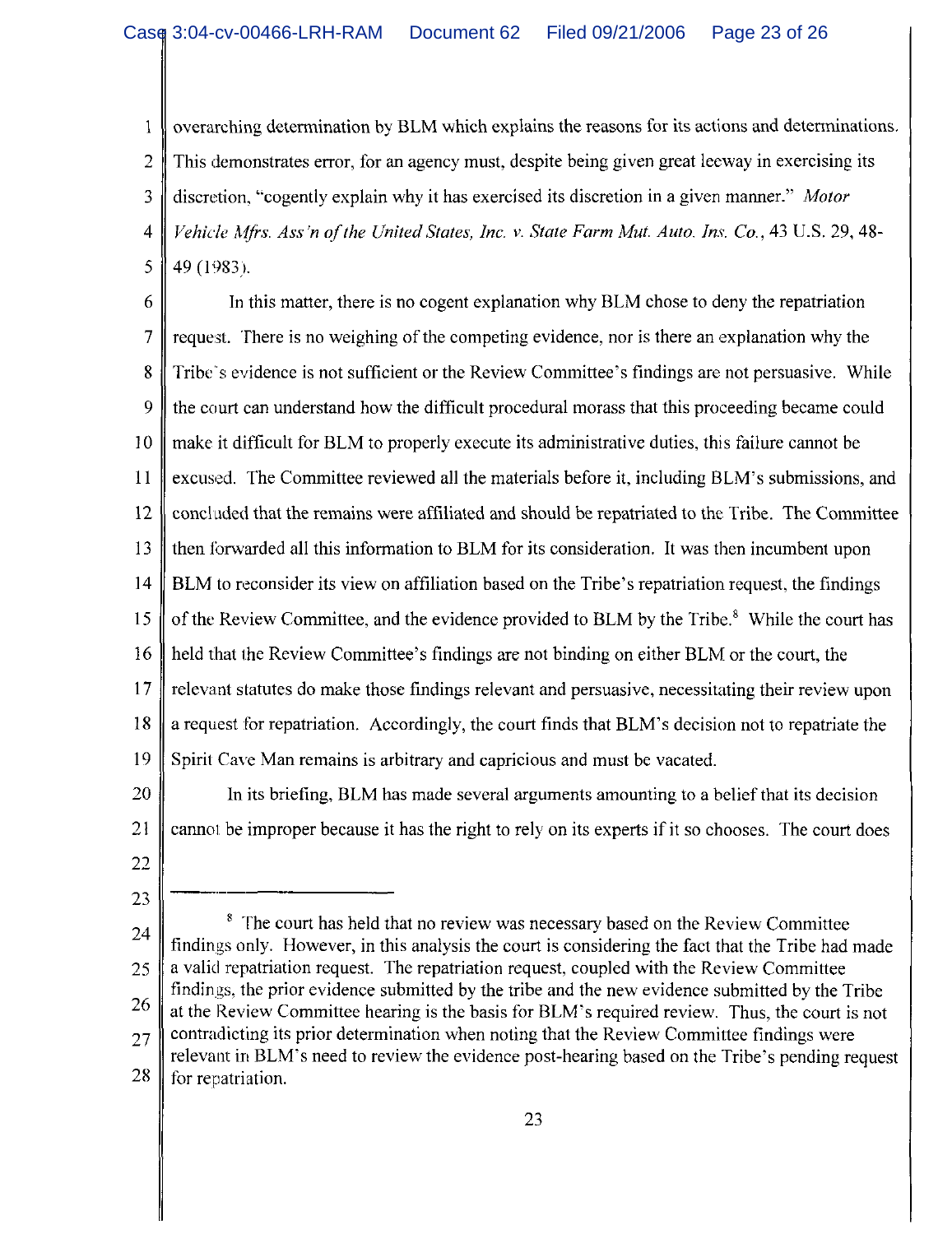overarching determination by BLM which explains the reasons for its actions and determinations.  $\mathbf{1}$ This demonstrates error, for an agency must, despite being given great leeway in exercising its 2 3 discretion, "cogently explain why it has exercised its discretion in a given manner." Motor Vehicle Mfrs. Ass'n of the United States, Inc. v. State Farm Mut. Auto. Ins. Co., 43 U.S. 29, 48- $\overline{4}$ 5 49 (1983).

6 In this matter, there is no cogent explanation why BLM chose to deny the repatriation  $\overline{7}$ request. There is no weighing of the competing evidence, nor is there an explanation why the 8 Tribe's evidence is not sufficient or the Review Committee's findings are not persuasive. While 9 the court can understand how the difficult procedural morass that this proceeding became could make it difficult for BLM to properly execute its administrative duties, this failure cannot be 10 11 excused. The Committee reviewed all the materials before it, including BLM's submissions, and  $12$ concluded that the remains were affiliated and should be repatriated to the Tribe. The Committee 13 then forwarded all this information to BLM for its consideration. It was then incumbent upon 14 BLM to reconsider its view on affiliation based on the Tribe's repatriation request, the findings of the Review Committee, and the evidence provided to BLM by the Tribe.<sup>8</sup> While the court has 15 16 held that the Review Committee's findings are not binding on either BLM or the court, the  $17$ relevant statutes do make those findings relevant and persuasive, necessitating their review upon 18 a request for repatriation. Accordingly, the court finds that BLM's decision not to repatriate the 19 Spirit Cave Man remains is arbitrary and capricious and must be vacated.

20 In its briefing, BLM has made several arguments amounting to a belief that its decision 21 cannot be improper because it has the right to rely on its experts if it so chooses. The court does

22

23

<sup>8</sup> The court has held that no review was necessary based on the Review Committee 24 findings only. However, in this analysis the court is considering the fact that the Tribe had made a valid repatriation request. The repatriation request, coupled with the Review Committee 25 findings, the prior evidence submitted by the tribe and the new evidence submitted by the Tribe 26 at the Review Committee hearing is the basis for BLM's required review. Thus, the court is not contradicting its prior determination when noting that the Review Committee findings were 27 relevant in BLM's need to review the evidence post-hearing based on the Tribe's pending request 28 for repatriation.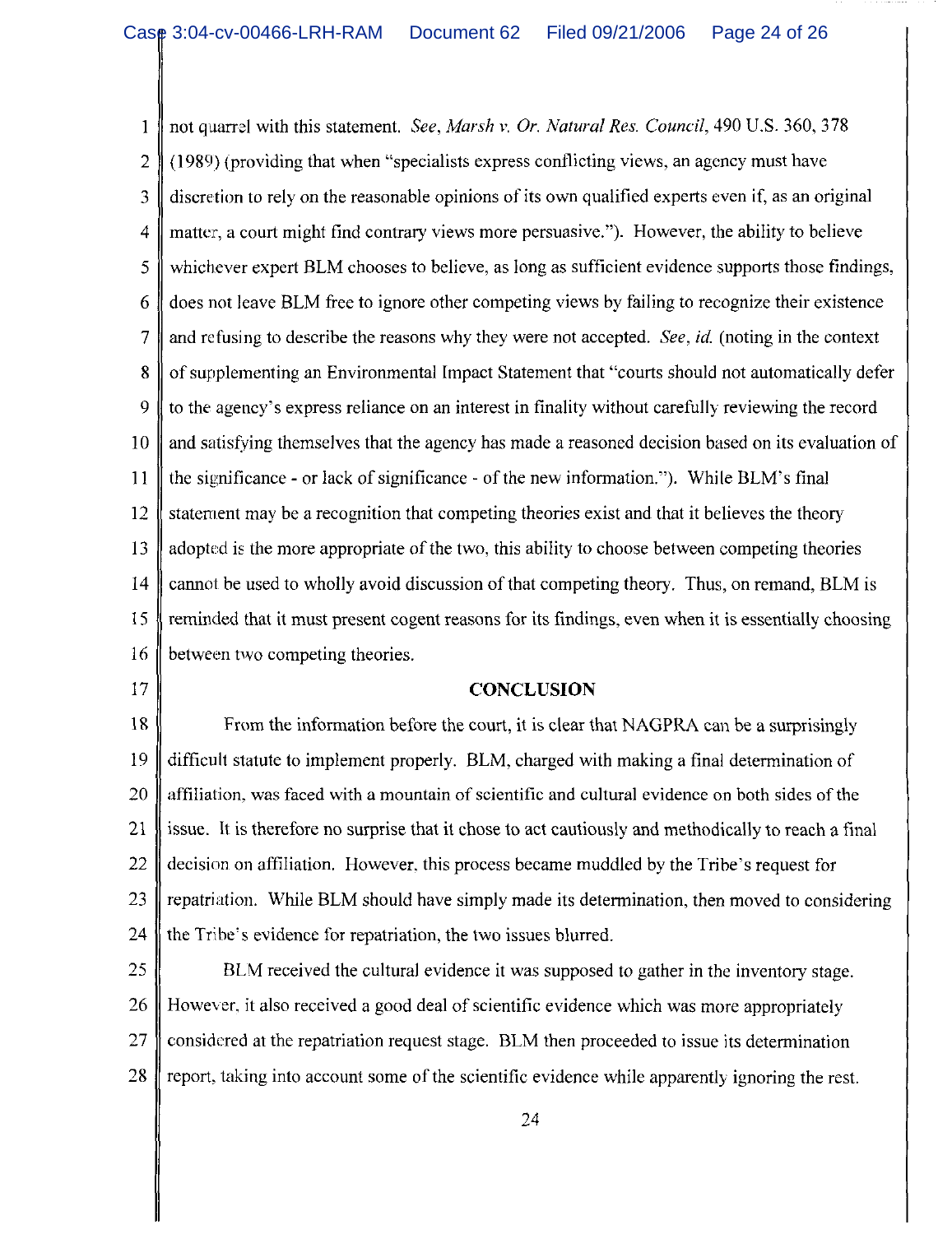not quarrel with this statement. See, Marsh v. Or. Natural Res. Council, 490 U.S. 360, 378  $\mathbf{1}$ (1989) (providing that when "specialists express conflicting views, an agency must have  $\overline{2}$  $\mathfrak{Z}$ discretion to rely on the reasonable opinions of its own qualified experts even if, as an original  $\overline{4}$ matter, a court might find contrary views more persuasive."). However, the ability to believe 5 whichever expert BLM chooses to believe, as long as sufficient evidence supports those findings, does not leave BLM free to ignore other competing views by failing to recognize their existence 6  $\overline{7}$ and refusing to describe the reasons why they were not accepted. See, id. (noting in the context of supplementing an Environmental Impact Statement that "courts should not automatically defer  $\mathbf{R}$ 9 to the agency's express reliance on an interest in finality without carefully reviewing the record and satisfying themselves that the agency has made a reasoned decision based on its evaluation of 10 11 the significance - or lack of significance - of the new information."). While BLM's final 12 statement may be a recognition that competing theories exist and that it believes the theory 13 adopted is the more appropriate of the two, this ability to choose between competing theories 14 cannot be used to wholly avoid discussion of that competing theory. Thus, on remand, BLM is 15 reminded that it must present cogent reasons for its findings, even when it is essentially choosing 16 between two competing theories.

17

### **CONCLUSION**

18 From the information before the court, it is clear that NAGPRA can be a surprisingly 19 difficult statute to implement properly. BLM, charged with making a final determination of 20 affiliation, was faced with a mountain of scientific and cultural evidence on both sides of the 21 issue. It is therefore no surprise that it chose to act cautiously and methodically to reach a final 22 decision on affiliation. However, this process became muddled by the Tribe's request for 23 repatriation. While BLM should have simply made its determination, then moved to considering 24 the Tribe's evidence for repatriation, the two issues blurred.

25 BLM received the cultural evidence it was supposed to gather in the inventory stage. 26 However, it also received a good deal of scientific evidence which was more appropriately 27 considered at the repatriation request stage. BLM then proceeded to issue its determination 28 report, taking into account some of the scientific evidence while apparently ignoring the rest.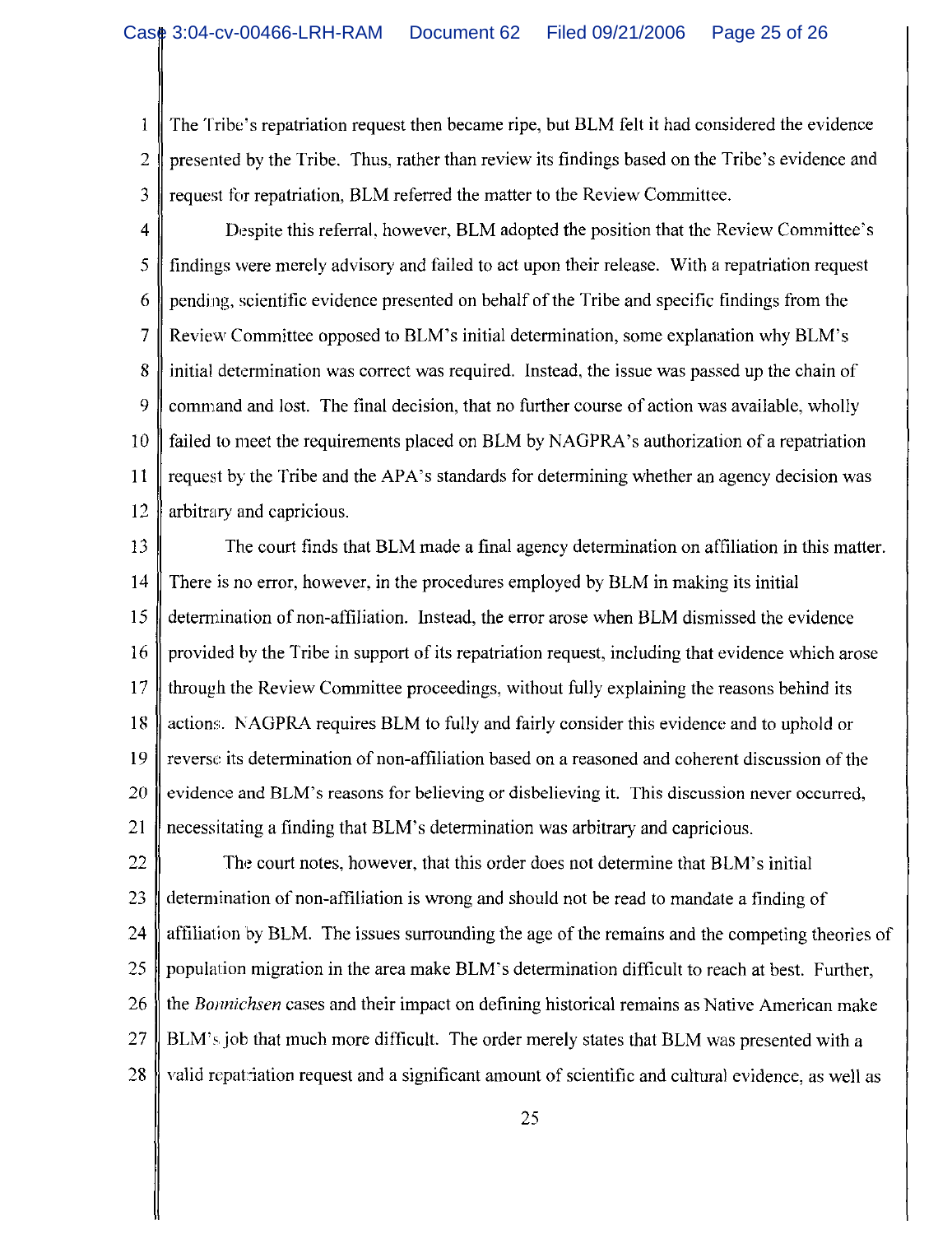The Tribe's repatriation request then became ripe, but BLM felt it had considered the evidence  $\mathbf{1}$  $\overline{2}$ presented by the Tribe. Thus, rather than review its findings based on the Tribe's evidence and 3 request for repatriation, BLM referred the matter to the Review Committee.

 $\overline{4}$ Despite this referral, however, BLM adopted the position that the Review Committee's 5 findings were merely advisory and failed to act upon their release. With a repatriation request 6 pending, scientific evidence presented on behalf of the Tribe and specific findings from the  $\overline{7}$ Review Committee opposed to BLM's initial determination, some explanation why BLM's 8 initial determination was correct was required. Instead, the issue was passed up the chain of 9 command and lost. The final decision, that no further course of action was available, wholly  $10$ failed to meet the requirements placed on BLM by NAGPRA's authorization of a repatriation 11 request by the Tribe and the APA's standards for determining whether an agency decision was 12 arbitrary and capricious.

13 The court finds that BLM made a final agency determination on affiliation in this matter. 14 There is no error, however, in the procedures employed by BLM in making its initial determination of non-affiliation. Instead, the error arose when BLM dismissed the evidence 15 16 provided by the Tribe in support of its repatriation request, including that evidence which arose 17 through the Review Committee proceedings, without fully explaining the reasons behind its 18 actions. NAGPRA requires BLM to fully and fairly consider this evidence and to uphold or reverse its determination of non-affiliation based on a reasoned and coherent discussion of the 19 20 evidence and BLM's reasons for believing or disbelieving it. This discussion never occurred, 21 necessitating a finding that BLM's determination was arbitrary and capricious.

22 The court notes, however, that this order does not determine that BLM's initial 23 determination of non-affiliation is wrong and should not be read to mandate a finding of 24 affiliation by BLM. The issues surrounding the age of the remains and the competing theories of 25 population migration in the area make BLM's determination difficult to reach at best. Further, the Bonnichsen cases and their impact on defining historical remains as Native American make 26 27 BLM's job that much more difficult. The order merely states that BLM was presented with a 28 valid repatriation request and a significant amount of scientific and cultural evidence, as well as